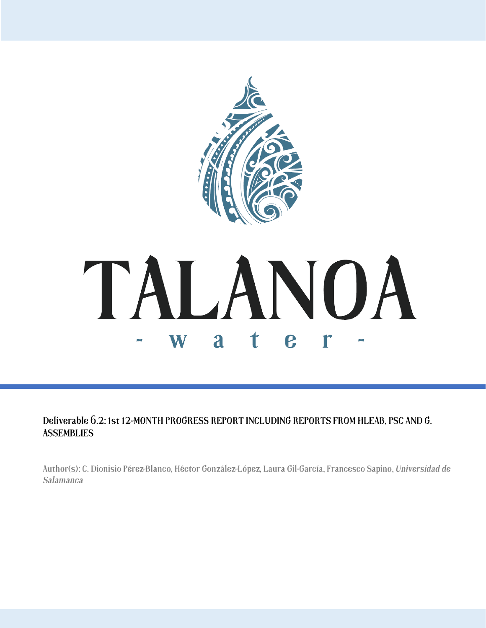

Deliverable 6.2: 1st 12-MONTH PROGRESS REPORT INCLUDING REPORTS FROM HLEAB, PSC AND G. **ASSEMBLIES** 

Author(s): C. Dionisio Pérez-Blanco, Héctor González-López, Laura Gil-García, Francesco Sapino, Universidad de Salamanca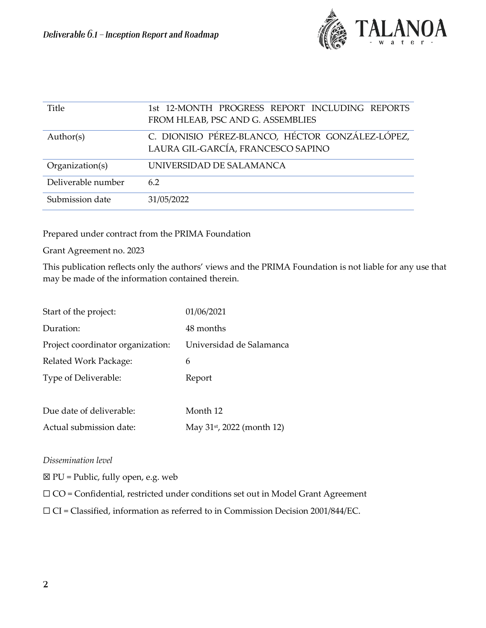

| Title              | 1st 12-MONTH PROGRESS REPORT INCLUDING REPORTS<br>FROM HLEAB, PSC AND G. ASSEMBLIES    |
|--------------------|----------------------------------------------------------------------------------------|
| Author(s)          | C. DIONISIO PÉREZ-BLANCO, HÉCTOR GONZÁLEZ-LÓPEZ,<br>LAURA GIL-GARCÍA, FRANCESCO SAPINO |
| Organization(s)    | UNIVERSIDAD DE SALAMANCA                                                               |
| Deliverable number | 62                                                                                     |
| Submission date    | 31/05/2022                                                                             |

Prepared under contract from the PRIMA Foundation

Grant Agreement no. 2023

This publication reflects only the authors' views and the PRIMA Foundation is not liable for any use that may be made of the information contained therein.

| Start of the project:             | 01/06/2021                             |
|-----------------------------------|----------------------------------------|
| Duration:                         | 48 months                              |
| Project coordinator organization: | Universidad de Salamanca               |
| Related Work Package:             | 6                                      |
| Type of Deliverable:              | Report                                 |
|                                   |                                        |
| Due date of deliverable:          | Month 12                               |
| Actual submission date:           | May 31 <sup>st</sup> , 2022 (month 12) |

### *Dissemination level*

 $\boxtimes$  PU = Public, fully open, e.g. web

☐ CO = Confidential, restricted under conditions set out in Model Grant Agreement

☐ CI = Classified, information as referred to in Commission Decision 2001/844/EC.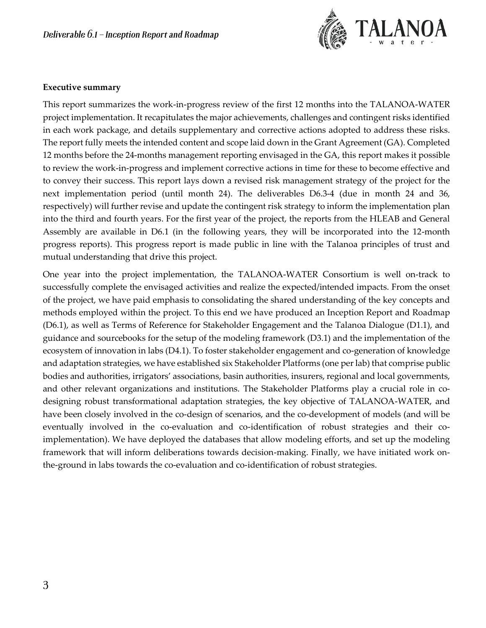

#### **Executive summary**

This report summarizes the work-in-progress review of the first 12 months into the TALANOA-WATER project implementation. It recapitulates the major achievements, challenges and contingent risks identified in each work package, and details supplementary and corrective actions adopted to address these risks. The report fully meets the intended content and scope laid down in the Grant Agreement (GA). Completed 12 months before the 24-months management reporting envisaged in the GA, this report makes it possible to review the work-in-progress and implement corrective actions in time for these to become effective and to convey their success. This report lays down a revised risk management strategy of the project for the next implementation period (until month 24). The deliverables D6.3-4 (due in month 24 and 36, respectively) will further revise and update the contingent risk strategy to inform the implementation plan into the third and fourth years. For the first year of the project, the reports from the HLEAB and General Assembly are available in D6.1 (in the following years, they will be incorporated into the 12-month progress reports). This progress report is made public in line with the Talanoa principles of trust and mutual understanding that drive this project.

One year into the project implementation, the TALANOA-WATER Consortium is well on-track to successfully complete the envisaged activities and realize the expected/intended impacts. From the onset of the project, we have paid emphasis to consolidating the shared understanding of the key concepts and methods employed within the project. To this end we have produced an Inception Report and Roadmap (D6.1), as well as Terms of Reference for Stakeholder Engagement and the Talanoa Dialogue (D1.1), and guidance and sourcebooks for the setup of the modeling framework (D3.1) and the implementation of the ecosystem of innovation in labs (D4.1). To foster stakeholder engagement and co-generation of knowledge and adaptation strategies, we have established six Stakeholder Platforms (one per lab) that comprise public bodies and authorities, irrigators' associations, basin authorities, insurers, regional and local governments, and other relevant organizations and institutions. The Stakeholder Platforms play a crucial role in codesigning robust transformational adaptation strategies, the key objective of TALANOA-WATER, and have been closely involved in the co-design of scenarios, and the co-development of models (and will be eventually involved in the co-evaluation and co-identification of robust strategies and their coimplementation). We have deployed the databases that allow modeling efforts, and set up the modeling framework that will inform deliberations towards decision-making. Finally, we have initiated work onthe-ground in labs towards the co-evaluation and co-identification of robust strategies.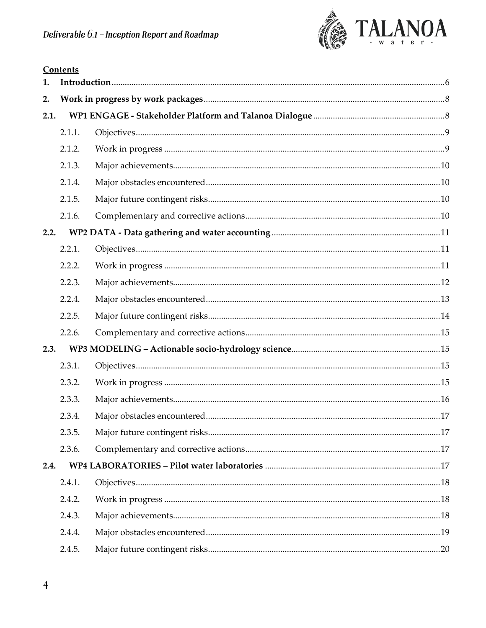

| 1.   |        |  |
|------|--------|--|
| 2.   |        |  |
| 2.1. |        |  |
|      | 2.1.1. |  |
|      | 2.1.2. |  |
|      | 2.1.3. |  |
|      | 2.1.4. |  |
|      | 2.1.5. |  |
|      | 2.1.6. |  |
| 2.2. |        |  |
|      | 2.2.1. |  |
|      | 2.2.2. |  |
|      | 2.2.3. |  |
|      | 2.2.4. |  |
|      | 2.2.5. |  |
|      | 2.2.6. |  |
| 2.3. |        |  |
|      | 2.3.1. |  |
|      | 2.3.2. |  |
|      | 2.3.3. |  |
|      | 2.3.4. |  |
|      | 2.3.5. |  |
|      | 2.3.6. |  |
| 2.4. |        |  |
|      | 2.4.1. |  |
|      | 2.4.2. |  |
|      | 2.4.3. |  |
|      | 2.4.4. |  |
|      | 2.4.5. |  |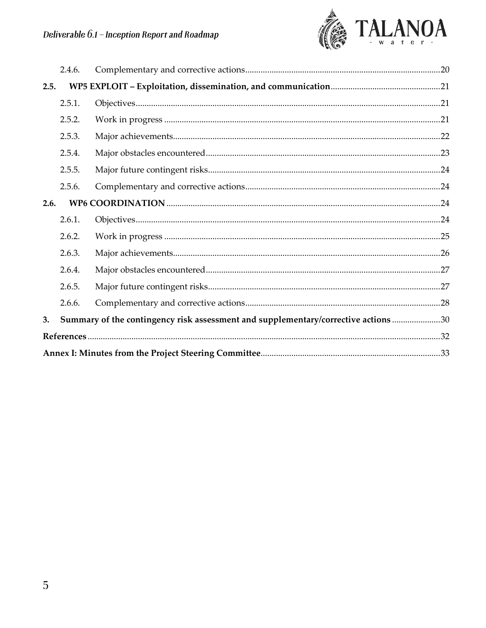

|      | 2.4.6. |                                                                                    |  |
|------|--------|------------------------------------------------------------------------------------|--|
| 2.5. |        |                                                                                    |  |
|      | 2.5.1. |                                                                                    |  |
|      | 2.5.2. |                                                                                    |  |
|      | 2.5.3. |                                                                                    |  |
|      | 2.5.4. |                                                                                    |  |
|      | 2.5.5. |                                                                                    |  |
|      | 2.5.6. |                                                                                    |  |
| 2.6. |        |                                                                                    |  |
|      | 2.6.1. |                                                                                    |  |
|      | 2.6.2. |                                                                                    |  |
|      | 2.6.3. |                                                                                    |  |
|      | 2.6.4. |                                                                                    |  |
|      | 2.6.5. |                                                                                    |  |
|      | 2.6.6. |                                                                                    |  |
| 3.   |        | Summary of the contingency risk assessment and supplementary/corrective actions 30 |  |
|      |        |                                                                                    |  |
|      |        |                                                                                    |  |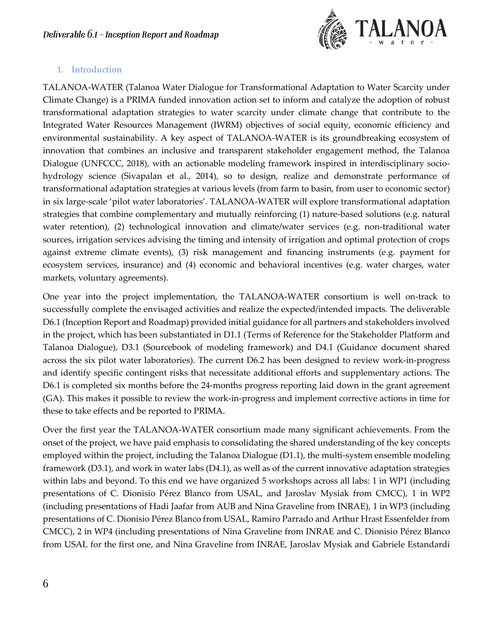

# <span id="page-5-0"></span>**1. Introduction**

TALANOA-WATER (Talanoa Water Dialogue for Transformational Adaptation to Water Scarcity under Climate Change) is a PRIMA funded innovation action set to inform and catalyze the adoption of robust transformational adaptation strategies to water scarcity under climate change that contribute to the Integrated Water Resources Management (IWRM) objectives of social equity, economic efficiency and environmental sustainability. A key aspect of TALANOA-WATER is its groundbreaking ecosystem of innovation that combines an inclusive and transparent stakeholder engagement method, the Talanoa Dialogue (UNFCCC, 2018), with an actionable modeling framework inspired in interdisciplinary sociohydrology science (Sivapalan et al., 2014), so to design, realize and demonstrate performance of transformational adaptation strategies at various levels (from farm to basin, from user to economic sector) in six large-scale 'pilot water laboratories'. TALANOA-WATER will explore transformational adaptation strategies that combine complementary and mutually reinforcing (1) nature-based solutions (e.g. natural water retention), (2) technological innovation and climate/water services (e.g. non-traditional water sources, irrigation services advising the timing and intensity of irrigation and optimal protection of crops against extreme climate events), (3) risk management and financing instruments (e.g. payment for ecosystem services, insurance) and (4) economic and behavioral incentives (e.g. water charges, water markets, voluntary agreements).

One year into the project implementation, the TALANOA-WATER consortium is well on-track to successfully complete the envisaged activities and realize the expected/intended impacts. The deliverable D6.1 (Inception Report and Roadmap) provided initial guidance for all partners and stakeholders involved in the project, which has been substantiated in D1.1 (Terms of Reference for the Stakeholder Platform and Talanoa Dialogue), D3.1 (Sourcebook of modeling framework) and D4.1 (Guidance document shared across the six pilot water laboratories). The current D6.2 has been designed to review work-in-progress and identify specific contingent risks that necessitate additional efforts and supplementary actions. The D6.1 is completed six months before the 24-months progress reporting laid down in the grant agreement (GA). This makes it possible to review the work-in-progress and implement corrective actions in time for these to take effects and be reported to PRIMA.

Over the first year the TALANOA-WATER consortium made many significant achievements. From the onset of the project, we have paid emphasis to consolidating the shared understanding of the key concepts employed within the project, including the Talanoa Dialogue (D1.1), the multi-system ensemble modeling framework (D3.1), and work in water labs (D4.1), as well as of the current innovative adaptation strategies within labs and beyond. To this end we have organized 5 workshops across all labs: 1 in WP1 (including presentations of C. Dionisio Pérez Blanco from USAL, and Jaroslav Mysiak from CMCC), 1 in WP2 (including presentations of Hadi Jaafar from AUB and Nina Graveline from INRAE), 1 in WP3 (including presentations of C. Dionisio Pérez Blanco from USAL, Ramiro Parrado and Arthur Hrast Essenfelder from CMCC), 2 in WP4 (including presentations of Nina Graveline from INRAE and C. Dionisio Pérez Blanco from USAL for the first one, and Nina Graveline from INRAE, Jaroslav Mysiak and Gabriele Estandardi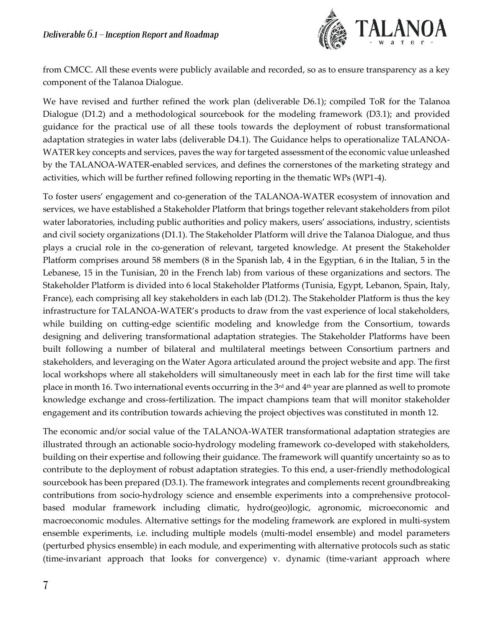

from CMCC. All these events were publicly available and recorded, so as to ensure transparency as a key component of the Talanoa Dialogue.

We have revised and further refined the work plan (deliverable D6.1); compiled ToR for the Talanoa Dialogue (D1.2) and a methodological sourcebook for the modeling framework (D3.1); and provided guidance for the practical use of all these tools towards the deployment of robust transformational adaptation strategies in water labs (deliverable D4.1). The Guidance helps to operationalize TALANOA-WATER key concepts and services, paves the way for targeted assessment of the economic value unleashed by the TALANOA-WATER-enabled services, and defines the cornerstones of the marketing strategy and activities, which will be further refined following reporting in the thematic WPs (WP1-4).

To foster users' engagement and co-generation of the TALANOA-WATER ecosystem of innovation and services, we have established a Stakeholder Platform that brings together relevant stakeholders from pilot water laboratories, including public authorities and policy makers, users' associations, industry, scientists and civil society organizations (D1.1). The Stakeholder Platform will drive the Talanoa Dialogue, and thus plays a crucial role in the co-generation of relevant, targeted knowledge. At present the Stakeholder Platform comprises around 58 members (8 in the Spanish lab, 4 in the Egyptian, 6 in the Italian, 5 in the Lebanese, 15 in the Tunisian, 20 in the French lab) from various of these organizations and sectors. The Stakeholder Platform is divided into 6 local Stakeholder Platforms (Tunisia, Egypt, Lebanon, Spain, Italy, France), each comprising all key stakeholders in each lab (D1.2). The Stakeholder Platform is thus the key infrastructure for TALANOA-WATER's products to draw from the vast experience of local stakeholders, while building on cutting-edge scientific modeling and knowledge from the Consortium, towards designing and delivering transformational adaptation strategies. The Stakeholder Platforms have been built following a number of bilateral and multilateral meetings between Consortium partners and stakeholders, and leveraging on the Water Agora articulated around the project website and app. The first local workshops where all stakeholders will simultaneously meet in each lab for the first time will take place in month 16. Two international events occurring in the 3rd and 4th year are planned as well to promote knowledge exchange and cross-fertilization. The impact champions team that will monitor stakeholder engagement and its contribution towards achieving the project objectives was constituted in month 12.

The economic and/or social value of the TALANOA-WATER transformational adaptation strategies are illustrated through an actionable socio-hydrology modeling framework co-developed with stakeholders, building on their expertise and following their guidance. The framework will quantify uncertainty so as to contribute to the deployment of robust adaptation strategies. To this end, a user-friendly methodological sourcebook has been prepared (D3.1). The framework integrates and complements recent groundbreaking contributions from socio-hydrology science and ensemble experiments into a comprehensive protocolbased modular framework including climatic, hydro(geo)logic, agronomic, microeconomic and macroeconomic modules. Alternative settings for the modeling framework are explored in multi-system ensemble experiments, i.e. including multiple models (multi-model ensemble) and model parameters (perturbed physics ensemble) in each module, and experimenting with alternative protocols such as static (time-invariant approach that looks for convergence) v. dynamic (time-variant approach where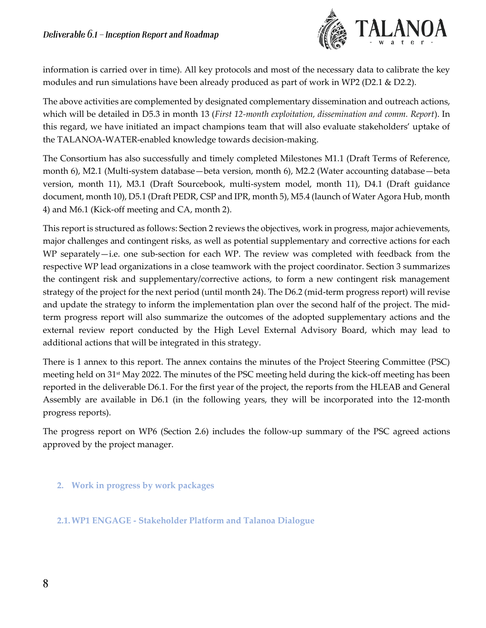

information is carried over in time). All key protocols and most of the necessary data to calibrate the key modules and run simulations have been already produced as part of work in WP2 (D2.1 & D2.2).

The above activities are complemented by designated complementary dissemination and outreach actions, which will be detailed in D5.3 in month 13 (*First 12-month exploitation, dissemination and comm. Report*). In this regard, we have initiated an impact champions team that will also evaluate stakeholders' uptake of the TALANOA-WATER-enabled knowledge towards decision-making.

The Consortium has also successfully and timely completed Milestones M1.1 (Draft Terms of Reference, month 6), M2.1 (Multi-system database—beta version, month 6), M2.2 (Water accounting database—beta version, month 11), M3.1 (Draft Sourcebook, multi-system model, month 11), D4.1 (Draft guidance document, month 10), D5.1 (Draft PEDR, CSP and IPR, month 5), M5.4 (launch of Water Agora Hub, month 4) and M6.1 (Kick-off meeting and CA, month 2).

This report is structured as follows: Section 2 reviews the objectives, work in progress, major achievements, major challenges and contingent risks, as well as potential supplementary and corrective actions for each WP separately—i.e. one sub-section for each WP. The review was completed with feedback from the respective WP lead organizations in a close teamwork with the project coordinator. Section 3 summarizes the contingent risk and supplementary/corrective actions, to form a new contingent risk management strategy of the project for the next period (until month 24). The D6.2 (mid-term progress report) will revise and update the strategy to inform the implementation plan over the second half of the project. The midterm progress report will also summarize the outcomes of the adopted supplementary actions and the external review report conducted by the High Level External Advisory Board, which may lead to additional actions that will be integrated in this strategy.

There is 1 annex to this report. The annex contains the minutes of the Project Steering Committee (PSC) meeting held on 31st May 2022. The minutes of the PSC meeting held during the kick-off meeting has been reported in the deliverable D6.1. For the first year of the project, the reports from the HLEAB and General Assembly are available in D6.1 (in the following years, they will be incorporated into the 12-month progress reports).

The progress report on WP6 (Section 2.6) includes the follow-up summary of the PSC agreed actions approved by the project manager.

<span id="page-7-0"></span>**2. Work in progress by work packages**

<span id="page-7-1"></span>**2.1.WP1 ENGAGE - Stakeholder Platform and Talanoa Dialogue**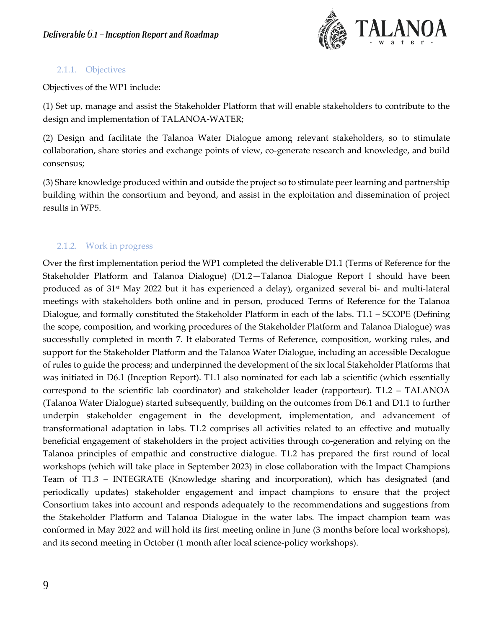

### <span id="page-8-0"></span>2.1.1. Objectives

Objectives of the WP1 include:

(1) Set up, manage and assist the Stakeholder Platform that will enable stakeholders to contribute to the design and implementation of TALANOA-WATER;

(2) Design and facilitate the Talanoa Water Dialogue among relevant stakeholders, so to stimulate collaboration, share stories and exchange points of view, co-generate research and knowledge, and build consensus;

(3) Share knowledge produced within and outside the project so to stimulate peer learning and partnership building within the consortium and beyond, and assist in the exploitation and dissemination of project results in WP5.

# <span id="page-8-1"></span>2.1.2. Work in progress

Over the first implementation period the WP1 completed the deliverable D1.1 (Terms of Reference for the Stakeholder Platform and Talanoa Dialogue) (D1.2—Talanoa Dialogue Report I should have been produced as of 31st May 2022 but it has experienced a delay), organized several bi- and multi-lateral meetings with stakeholders both online and in person, produced Terms of Reference for the Talanoa Dialogue, and formally constituted the Stakeholder Platform in each of the labs. T1.1 – SCOPE (Defining the scope, composition, and working procedures of the Stakeholder Platform and Talanoa Dialogue) was successfully completed in month 7. It elaborated Terms of Reference, composition, working rules, and support for the Stakeholder Platform and the Talanoa Water Dialogue, including an accessible Decalogue of rules to guide the process; and underpinned the development of the six local Stakeholder Platforms that was initiated in D6.1 (Inception Report). T1.1 also nominated for each lab a scientific (which essentially correspond to the scientific lab coordinator) and stakeholder leader (rapporteur). T1.2 – TALANOA (Talanoa Water Dialogue) started subsequently, building on the outcomes from D6.1 and D1.1 to further underpin stakeholder engagement in the development, implementation, and advancement of transformational adaptation in labs. T1.2 comprises all activities related to an effective and mutually beneficial engagement of stakeholders in the project activities through co-generation and relying on the Talanoa principles of empathic and constructive dialogue. T1.2 has prepared the first round of local workshops (which will take place in September 2023) in close collaboration with the Impact Champions Team of T1.3 – INTEGRATE (Knowledge sharing and incorporation), which has designated (and periodically updates) stakeholder engagement and impact champions to ensure that the project Consortium takes into account and responds adequately to the recommendations and suggestions from the Stakeholder Platform and Talanoa Dialogue in the water labs. The impact champion team was conformed in May 2022 and will hold its first meeting online in June (3 months before local workshops), and its second meeting in October (1 month after local science-policy workshops).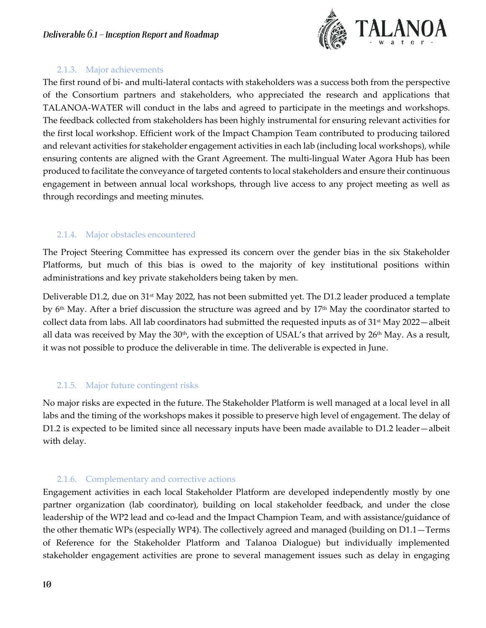

### 2.1.3. Major achievements

<span id="page-9-0"></span>The first round of bi- and multi-lateral contacts with stakeholders was a success both from the perspective of the Consortium partners and stakeholders, who appreciated the research and applications that TALANOA-WATER will conduct in the labs and agreed to participate in the meetings and workshops. The feedback collected from stakeholders has been highly instrumental for ensuring relevant activities for the first local workshop. Efficient work of the Impact Champion Team contributed to producing tailored and relevant activities for stakeholder engagement activities in each lab (including local workshops), while ensuring contents are aligned with the Grant Agreement. The multi-lingual Water Agora Hub has been produced to facilitate the conveyance of targeted contents to local stakeholders and ensure their continuous engagement in between annual local workshops, through live access to any project meeting as well as through recordings and meeting minutes.

# <span id="page-9-1"></span>2.1.4. Major obstacles encountered

The Project Steering Committee has expressed its concern over the gender bias in the six Stakeholder Platforms, but much of this bias is owed to the majority of key institutional positions within administrations and key private stakeholders being taken by men.

Deliverable D1.2, due on 31<sup>st</sup> May 2022, has not been submitted yet. The D1.2 leader produced a template by  $6<sup>th</sup>$  May. After a brief discussion the structure was agreed and by  $17<sup>th</sup>$  May the coordinator started to collect data from labs. All lab coordinators had submitted the requested inputs as of 31<sup>st</sup> May 2022—albeit all data was received by May the 30<sup>th</sup>, with the exception of USAL's that arrived by 26<sup>th</sup> May. As a result, it was not possible to produce the deliverable in time. The deliverable is expected in June.

# <span id="page-9-2"></span>2.1.5. Major future contingent risks

No major risks are expected in the future. The Stakeholder Platform is well managed at a local level in all labs and the timing of the workshops makes it possible to preserve high level of engagement. The delay of D1.2 is expected to be limited since all necessary inputs have been made available to D1.2 leader—albeit with delay.

# 2.1.6. Complementary and corrective actions

<span id="page-9-3"></span>Engagement activities in each local Stakeholder Platform are developed independently mostly by one partner organization (lab coordinator), building on local stakeholder feedback, and under the close leadership of the WP2 lead and co-lead and the Impact Champion Team, and with assistance/guidance of the other thematic WPs (especially WP4). The collectively agreed and managed (building on D1.1—Terms of Reference for the Stakeholder Platform and Talanoa Dialogue) but individually implemented stakeholder engagement activities are prone to several management issues such as delay in engaging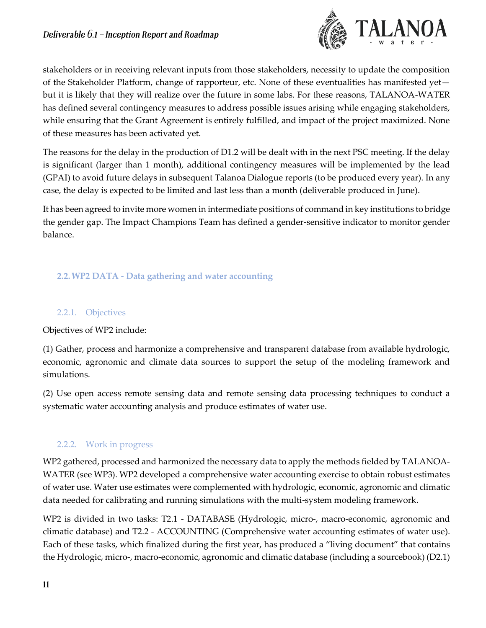

stakeholders or in receiving relevant inputs from those stakeholders, necessity to update the composition of the Stakeholder Platform, change of rapporteur, etc. None of these eventualities has manifested yet but it is likely that they will realize over the future in some labs. For these reasons, TALANOA-WATER has defined several contingency measures to address possible issues arising while engaging stakeholders, while ensuring that the Grant Agreement is entirely fulfilled, and impact of the project maximized. None of these measures has been activated yet.

The reasons for the delay in the production of D1.2 will be dealt with in the next PSC meeting. If the delay is significant (larger than 1 month), additional contingency measures will be implemented by the lead (GPAI) to avoid future delays in subsequent Talanoa Dialogue reports (to be produced every year). In any case, the delay is expected to be limited and last less than a month (deliverable produced in June).

It has been agreed to invite more women in intermediate positions of command in key institutions to bridge the gender gap. The Impact Champions Team has defined a gender-sensitive indicator to monitor gender balance.

# <span id="page-10-0"></span>**2.2.WP2 DATA - Data gathering and water accounting**

### <span id="page-10-1"></span>2.2.1. Objectives

Objectives of WP2 include:

(1) Gather, process and harmonize a comprehensive and transparent database from available hydrologic, economic, agronomic and climate data sources to support the setup of the modeling framework and simulations.

(2) Use open access remote sensing data and remote sensing data processing techniques to conduct a systematic water accounting analysis and produce estimates of water use.

### <span id="page-10-2"></span>2.2.2. Work in progress

WP2 gathered, processed and harmonized the necessary data to apply the methods fielded by TALANOA-WATER (see WP3). WP2 developed a comprehensive water accounting exercise to obtain robust estimates of water use. Water use estimates were complemented with hydrologic, economic, agronomic and climatic data needed for calibrating and running simulations with the multi-system modeling framework.

WP2 is divided in two tasks: T2.1 - DATABASE (Hydrologic, micro-, macro-economic, agronomic and climatic database) and T2.2 - ACCOUNTING (Comprehensive water accounting estimates of water use). Each of these tasks, which finalized during the first year, has produced a "living document" that contains the Hydrologic, micro-, macro-economic, agronomic and climatic database (including a sourcebook) (D2.1)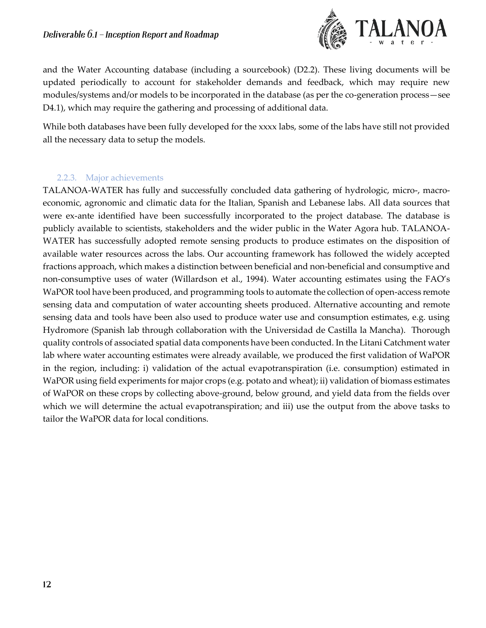

and the Water Accounting database (including a sourcebook) (D2.2). These living documents will be updated periodically to account for stakeholder demands and feedback, which may require new modules/systems and/or models to be incorporated in the database (as per the co-generation process—see D4.1), which may require the gathering and processing of additional data.

While both databases have been fully developed for the xxxx labs, some of the labs have still not provided all the necessary data to setup the models.

#### 2.2.3. Major achievements

<span id="page-11-0"></span>TALANOA-WATER has fully and successfully concluded data gathering of hydrologic, micro-, macroeconomic, agronomic and climatic data for the Italian, Spanish and Lebanese labs. All data sources that were ex-ante identified have been successfully incorporated to the project database. The database is publicly available to scientists, stakeholders and the wider public in the Water Agora hub. TALANOA-WATER has successfully adopted remote sensing products to produce estimates on the disposition of available water resources across the labs. Our accounting framework has followed the widely accepted fractions approach, which makes a distinction between beneficial and non-beneficial and consumptive and non-consumptive uses of water (Willardson et al., 1994). Water accounting estimates using the FAO's WaPOR tool have been produced, and programming tools to automate the collection of open-access remote sensing data and computation of water accounting sheets produced. Alternative accounting and remote sensing data and tools have been also used to produce water use and consumption estimates, e.g. using Hydromore (Spanish lab through collaboration with the Universidad de Castilla la Mancha). Thorough quality controls of associated spatial data components have been conducted. In the Litani Catchment water lab where water accounting estimates were already available, we produced the first validation of WaPOR in the region, including: i) validation of the actual evapotranspiration (i.e. consumption) estimated in WaPOR using field experiments for major crops (e.g. potato and wheat); ii) validation of biomass estimates of WaPOR on these crops by collecting above-ground, below ground, and yield data from the fields over which we will determine the actual evapotranspiration; and iii) use the output from the above tasks to tailor the WaPOR data for local conditions.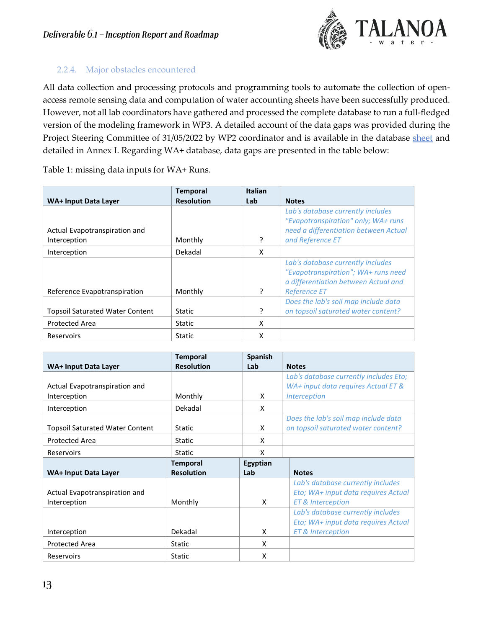

# <span id="page-12-0"></span>2.2.4. Major obstacles encountered

All data collection and processing protocols and programming tools to automate the collection of openaccess remote sensing data and computation of water accounting sheets have been successfully produced. However, not all lab coordinators have gathered and processed the complete database to run a full-fledged version of the modeling framework in WP3. A detailed account of the data gaps was provided during the Project Steering Committee of 31/05/2022 by WP2 coordinator and is available in the database [sheet](https://docs.google.com/spreadsheets/d/1mwRk1zuXzfUqX_RmD7a0kDV9O1KqxtAH4Y2EwgS64OQ/edit#gid=1632002035) and detailed in Annex I. Regarding WA+ database, data gaps are presented in the table below:

Table 1: missing data inputs for WA+ Runs.

|                                        | <b>Temporal</b>   | <b>Italian</b> |                                                                                                                  |
|----------------------------------------|-------------------|----------------|------------------------------------------------------------------------------------------------------------------|
| WA+ Input Data Layer                   | <b>Resolution</b> | Lab            | <b>Notes</b>                                                                                                     |
|                                        |                   |                | Lab's database currently includes<br>"Evapotranspiration" only; WA+ runs                                         |
| Actual Evapotranspiration and          |                   |                | need a differentiation between Actual                                                                            |
| Interception                           | Monthly           | ?              | and Reference ET                                                                                                 |
| Interception                           | Dekadal           | X              |                                                                                                                  |
|                                        |                   |                | Lab's database currently includes<br>"Evapotranspiration"; WA+ runs need<br>a differentiation between Actual and |
| Reference Evapotranspiration           | Monthly           | ?              | <b>Reference ET</b>                                                                                              |
| <b>Topsoil Saturated Water Content</b> | <b>Static</b>     | ?              | Does the lab's soil map include data<br>on topsoil saturated water content?                                      |
| <b>Protected Area</b>                  | Static            | x              |                                                                                                                  |
| Reservoirs                             | Static            | x              |                                                                                                                  |

|                                        | <b>Temporal</b>   | Spanish  |                                        |
|----------------------------------------|-------------------|----------|----------------------------------------|
| WA+ Input Data Layer                   | <b>Resolution</b> | Lab      | <b>Notes</b>                           |
|                                        |                   |          | Lab's database currently includes Eto; |
| Actual Evapotranspiration and          |                   |          | WA+ input data requires Actual ET &    |
| Interception                           | Monthly           | X        | <i><u><b>Interception</b></u></i>      |
| Interception                           | Dekadal           | X        |                                        |
|                                        |                   |          | Does the lab's soil map include data   |
| <b>Topsoil Saturated Water Content</b> | <b>Static</b>     | X        | on topsoil saturated water content?    |
| <b>Protected Area</b>                  | Static            | X        |                                        |
| Reservoirs                             | Static            | x        |                                        |
|                                        |                   |          |                                        |
|                                        | <b>Temporal</b>   | Egyptian |                                        |
| WA+ Input Data Layer                   | <b>Resolution</b> | Lab      | <b>Notes</b>                           |
|                                        |                   |          | Lab's database currently includes      |
| Actual Evapotranspiration and          |                   |          | Eto; WA+ input data requires Actual    |
| Interception                           | Monthly           | X        | <b>ET &amp; Interception</b>           |
|                                        |                   |          | Lab's database currently includes      |
|                                        |                   |          | Eto; WA+ input data requires Actual    |
| Interception                           | Dekadal           | X        | <b>ET &amp; Interception</b>           |
| <b>Protected Area</b>                  | Static            | X        |                                        |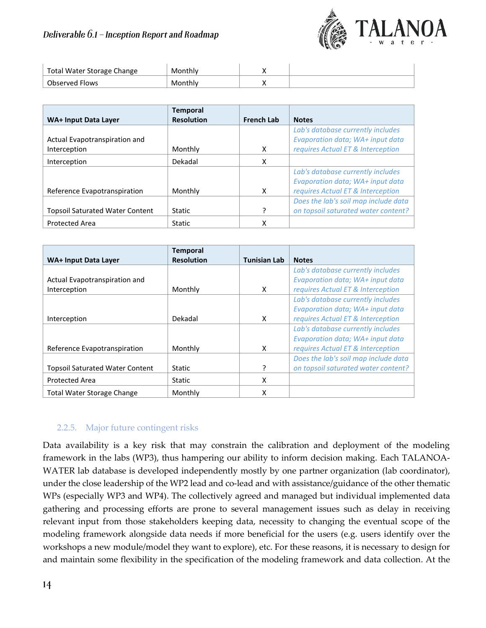

| Total Water Storage Change | Monthly |  |
|----------------------------|---------|--|
| Observed Flows             | Monthly |  |

| WA+ Input Data Layer                   | <b>Temporal</b><br><b>Resolution</b> | <b>French Lab</b> | <b>Notes</b>                         |
|----------------------------------------|--------------------------------------|-------------------|--------------------------------------|
|                                        |                                      |                   |                                      |
|                                        |                                      |                   | Lab's database currently includes    |
| Actual Evapotranspiration and          |                                      |                   | Evaporation data; WA+ input data     |
| Interception                           | Monthly                              | X                 | requires Actual ET & Interception    |
| Interception                           | Dekadal                              | X                 |                                      |
|                                        |                                      |                   | Lab's database currently includes    |
|                                        |                                      |                   | Evaporation data; WA+ input data     |
| Reference Evapotranspiration           | Monthly                              | X                 | requires Actual ET & Interception    |
|                                        |                                      |                   | Does the lab's soil map include data |
| <b>Topsoil Saturated Water Content</b> | Static                               | 7                 | on topsoil saturated water content?  |
| <b>Protected Area</b>                  | <b>Static</b>                        | X                 |                                      |

| WA+ Input Data Layer                   | <b>Temporal</b><br><b>Resolution</b> | <b>Tunisian Lab</b> | <b>Notes</b>                         |
|----------------------------------------|--------------------------------------|---------------------|--------------------------------------|
|                                        |                                      |                     | Lab's database currently includes    |
| Actual Evapotranspiration and          |                                      |                     | Evaporation data; WA+ input data     |
| Interception                           | Monthly                              | X                   | requires Actual ET & Interception    |
|                                        |                                      |                     | Lab's database currently includes    |
|                                        |                                      |                     | Evaporation data; WA+ input data     |
| Interception                           | Dekadal                              | X                   | requires Actual ET & Interception    |
|                                        |                                      |                     | Lab's database currently includes    |
|                                        |                                      |                     | Evaporation data; WA+ input data     |
| Reference Evapotranspiration           | Monthly                              | X                   | requires Actual ET & Interception    |
|                                        |                                      |                     | Does the lab's soil map include data |
| <b>Topsoil Saturated Water Content</b> | Static                               | ς                   | on topsoil saturated water content?  |
| <b>Protected Area</b>                  | Static                               | X                   |                                      |
| <b>Total Water Storage Change</b>      | Monthly                              | x                   |                                      |

# <span id="page-13-0"></span>2.2.5. Major future contingent risks

Data availability is a key risk that may constrain the calibration and deployment of the modeling framework in the labs (WP3), thus hampering our ability to inform decision making. Each TALANOA-WATER lab database is developed independently mostly by one partner organization (lab coordinator), under the close leadership of the WP2 lead and co-lead and with assistance/guidance of the other thematic WPs (especially WP3 and WP4). The collectively agreed and managed but individual implemented data gathering and processing efforts are prone to several management issues such as delay in receiving relevant input from those stakeholders keeping data, necessity to changing the eventual scope of the modeling framework alongside data needs if more beneficial for the users (e.g. users identify over the workshops a new module/model they want to explore), etc. For these reasons, it is necessary to design for and maintain some flexibility in the specification of the modeling framework and data collection. At the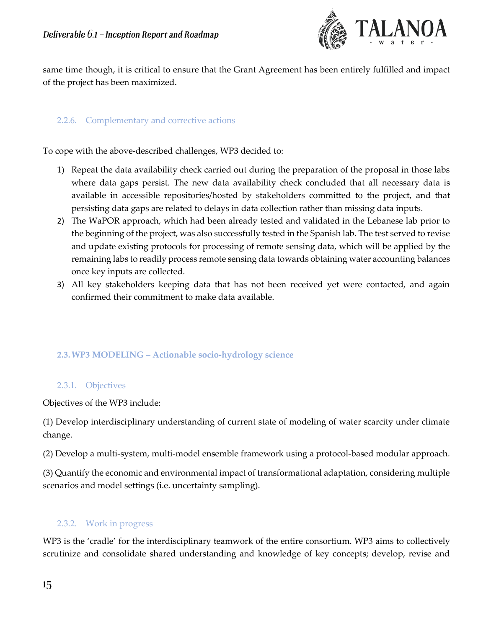

same time though, it is critical to ensure that the Grant Agreement has been entirely fulfilled and impact of the project has been maximized.

### <span id="page-14-0"></span>2.2.6. Complementary and corrective actions

To cope with the above-described challenges, WP3 decided to:

- 1) Repeat the data availability check carried out during the preparation of the proposal in those labs where data gaps persist. The new data availability check concluded that all necessary data is available in accessible repositories/hosted by stakeholders committed to the project, and that persisting data gaps are related to delays in data collection rather than missing data inputs.
- 2) The WaPOR approach, which had been already tested and validated in the Lebanese lab prior to the beginning of the project, was also successfully tested in the Spanish lab. The test served to revise and update existing protocols for processing of remote sensing data, which will be applied by the remaining labs to readily process remote sensing data towards obtaining water accounting balances once key inputs are collected.
- 3) All key stakeholders keeping data that has not been received yet were contacted, and again confirmed their commitment to make data available.

### <span id="page-14-1"></span>**2.3.WP3 MODELING – Actionable socio-hydrology science**

#### <span id="page-14-2"></span>2.3.1. Objectives

Objectives of the WP3 include:

(1) Develop interdisciplinary understanding of current state of modeling of water scarcity under climate change.

(2) Develop a multi-system, multi-model ensemble framework using a protocol-based modular approach.

(3) Quantify the economic and environmental impact of transformational adaptation, considering multiple scenarios and model settings (i.e. uncertainty sampling).

# <span id="page-14-3"></span>2.3.2. Work in progress

WP3 is the 'cradle' for the interdisciplinary teamwork of the entire consortium. WP3 aims to collectively scrutinize and consolidate shared understanding and knowledge of key concepts; develop, revise and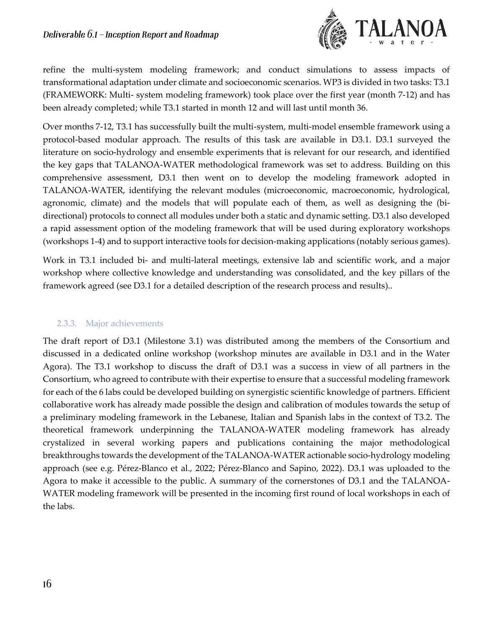

refine the multi-system modeling framework; and conduct simulations to assess impacts of transformational adaptation under climate and socioeconomic scenarios. WP3 is divided in two tasks: T3.1 (FRAMEWORK: Multi- system modeling framework) took place over the first year (month 7-12) and has been already completed; while T3.1 started in month 12 and will last until month 36.

Over months 7-12, T3.1 has successfully built the multi-system, multi-model ensemble framework using a protocol-based modular approach. The results of this task are available in D3.1. D3.1 surveyed the literature on socio-hydrology and ensemble experiments that is relevant for our research, and identified the key gaps that TALANOA-WATER methodological framework was set to address. Building on this comprehensive assessment, D3.1 then went on to develop the modeling framework adopted in TALANOA-WATER, identifying the relevant modules (microeconomic, macroeconomic, hydrological, agronomic, climate) and the models that will populate each of them, as well as designing the (bidirectional) protocols to connect all modules under both a static and dynamic setting. D3.1 also developed a rapid assessment option of the modeling framework that will be used during exploratory workshops (workshops 1-4) and to support interactive tools for decision-making applications (notably serious games).

Work in T3.1 included bi- and multi-lateral meetings, extensive lab and scientific work, and a major workshop where collective knowledge and understanding was consolidated, and the key pillars of the framework agreed (see D3.1 for a detailed description of the research process and results)..

### <span id="page-15-0"></span>2.3.3. Major achievements

The draft report of D3.1 (Milestone 3.1) was distributed among the members of the Consortium and discussed in a dedicated online workshop (workshop minutes are available in D3.1 and in the Water Agora). The T3.1 workshop to discuss the draft of D3.1 was a success in view of all partners in the Consortium, who agreed to contribute with their expertise to ensure that a successful modeling framework for each of the 6 labs could be developed building on synergistic scientific knowledge of partners. Efficient collaborative work has already made possible the design and calibration of modules towards the setup of a preliminary modeling framework in the Lebanese, Italian and Spanish labs in the context of T3.2. The theoretical framework underpinning the TALANOA-WATER modeling framework has already crystalized in several working papers and publications containing the major methodological breakthroughs towards the development of the TALANOA-WATER actionable socio-hydrology modeling approach (see e.g. Pérez-Blanco et al., 2022; Pérez-Blanco and Sapino, 2022). D3.1 was uploaded to the Agora to make it accessible to the public. A summary of the cornerstones of D3.1 and the TALANOA-WATER modeling framework will be presented in the incoming first round of local workshops in each of the labs.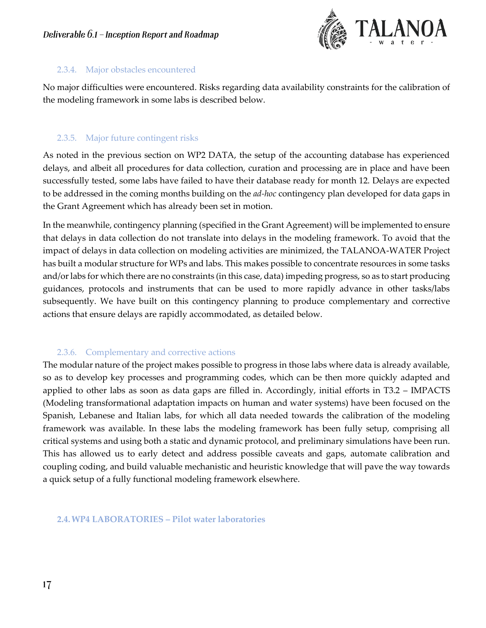

### <span id="page-16-0"></span>2.3.4. Major obstacles encountered

No major difficulties were encountered. Risks regarding data availability constraints for the calibration of the modeling framework in some labs is described below.

### <span id="page-16-1"></span>2.3.5. Major future contingent risks

As noted in the previous section on WP2 DATA, the setup of the accounting database has experienced delays, and albeit all procedures for data collection, curation and processing are in place and have been successfully tested, some labs have failed to have their database ready for month 12. Delays are expected to be addressed in the coming months building on the *ad-hoc* contingency plan developed for data gaps in the Grant Agreement which has already been set in motion.

In the meanwhile, contingency planning (specified in the Grant Agreement) will be implemented to ensure that delays in data collection do not translate into delays in the modeling framework. To avoid that the impact of delays in data collection on modeling activities are minimized, the TALANOA-WATER Project has built a modular structure for WPs and labs. This makes possible to concentrate resources in some tasks and/or labs for which there are no constraints (in this case, data) impeding progress, so as to start producing guidances, protocols and instruments that can be used to more rapidly advance in other tasks/labs subsequently. We have built on this contingency planning to produce complementary and corrective actions that ensure delays are rapidly accommodated, as detailed below.

# 2.3.6. Complementary and corrective actions

<span id="page-16-2"></span>The modular nature of the project makes possible to progress in those labs where data is already available, so as to develop key processes and programming codes, which can be then more quickly adapted and applied to other labs as soon as data gaps are filled in. Accordingly, initial efforts in T3.2 – IMPACTS (Modeling transformational adaptation impacts on human and water systems) have been focused on the Spanish, Lebanese and Italian labs, for which all data needed towards the calibration of the modeling framework was available. In these labs the modeling framework has been fully setup, comprising all critical systems and using both a static and dynamic protocol, and preliminary simulations have been run. This has allowed us to early detect and address possible caveats and gaps, automate calibration and coupling coding, and build valuable mechanistic and heuristic knowledge that will pave the way towards a quick setup of a fully functional modeling framework elsewhere.

### <span id="page-16-3"></span>**2.4.WP4 LABORATORIES – Pilot water laboratories**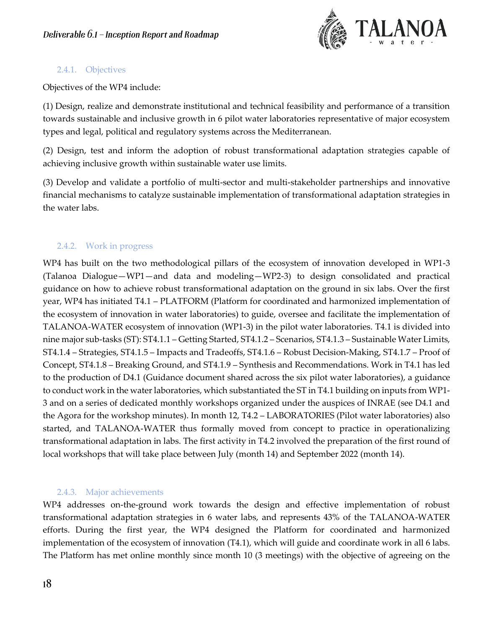

### <span id="page-17-0"></span>2.4.1. Objectives

Objectives of the WP4 include:

(1) Design, realize and demonstrate institutional and technical feasibility and performance of a transition towards sustainable and inclusive growth in 6 pilot water laboratories representative of major ecosystem types and legal, political and regulatory systems across the Mediterranean.

(2) Design, test and inform the adoption of robust transformational adaptation strategies capable of achieving inclusive growth within sustainable water use limits.

(3) Develop and validate a portfolio of multi-sector and multi-stakeholder partnerships and innovative financial mechanisms to catalyze sustainable implementation of transformational adaptation strategies in the water labs.

# <span id="page-17-1"></span>2.4.2. Work in progress

WP4 has built on the two methodological pillars of the ecosystem of innovation developed in WP1-3 (Talanoa Dialogue—WP1—and data and modeling—WP2-3) to design consolidated and practical guidance on how to achieve robust transformational adaptation on the ground in six labs. Over the first year, WP4 has initiated T4.1 – PLATFORM (Platform for coordinated and harmonized implementation of the ecosystem of innovation in water laboratories) to guide, oversee and facilitate the implementation of TALANOA-WATER ecosystem of innovation (WP1-3) in the pilot water laboratories. T4.1 is divided into nine major sub-tasks (ST): ST4.1.1 – Getting Started, ST4.1.2 – Scenarios, ST4.1.3 – Sustainable Water Limits, ST4.1.4 – Strategies, ST4.1.5 – Impacts and Tradeoffs, ST4.1.6 – Robust Decision-Making, ST4.1.7 – Proof of Concept, ST4.1.8 – Breaking Ground, and ST4.1.9 – Synthesis and Recommendations. Work in T4.1 has led to the production of D4.1 (Guidance document shared across the six pilot water laboratories), a guidance to conduct work in the water laboratories, which substantiated the ST in T4.1 building on inputs from WP1- 3 and on a series of dedicated monthly workshops organized under the auspices of INRAE (see D4.1 and the Agora for the workshop minutes). In month 12, T4.2 – LABORATORIES (Pilot water laboratories) also started, and TALANOA-WATER thus formally moved from concept to practice in operationalizing transformational adaptation in labs. The first activity in T4.2 involved the preparation of the first round of local workshops that will take place between July (month 14) and September 2022 (month 14).

### 2.4.3. Major achievements

<span id="page-17-2"></span>WP4 addresses on-the-ground work towards the design and effective implementation of robust transformational adaptation strategies in 6 water labs, and represents 43% of the TALANOA-WATER efforts. During the first year, the WP4 designed the Platform for coordinated and harmonized implementation of the ecosystem of innovation (T4.1), which will guide and coordinate work in all 6 labs. The Platform has met online monthly since month 10 (3 meetings) with the objective of agreeing on the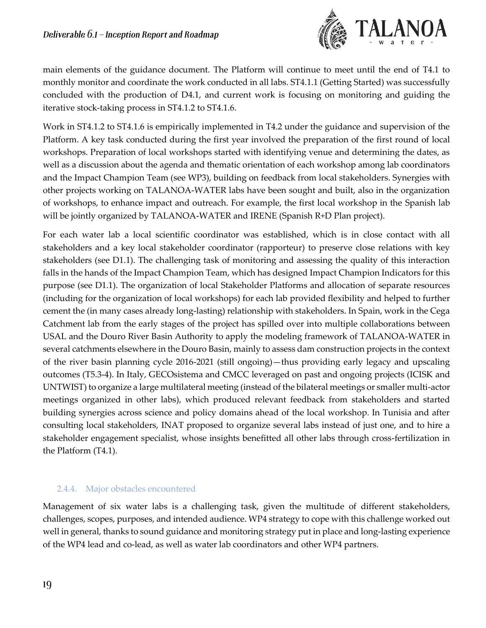

main elements of the guidance document. The Platform will continue to meet until the end of T4.1 to monthly monitor and coordinate the work conducted in all labs. ST4.1.1 (Getting Started) was successfully concluded with the production of D4.1, and current work is focusing on monitoring and guiding the iterative stock-taking process in ST4.1.2 to ST4.1.6.

Work in ST4.1.2 to ST4.1.6 is empirically implemented in T4.2 under the guidance and supervision of the Platform. A key task conducted during the first year involved the preparation of the first round of local workshops. Preparation of local workshops started with identifying venue and determining the dates, as well as a discussion about the agenda and thematic orientation of each workshop among lab coordinators and the Impact Champion Team (see WP3), building on feedback from local stakeholders. Synergies with other projects working on TALANOA-WATER labs have been sought and built, also in the organization of workshops, to enhance impact and outreach. For example, the first local workshop in the Spanish lab will be jointly organized by TALANOA-WATER and IRENE (Spanish R+D Plan project).

For each water lab a local scientific coordinator was established, which is in close contact with all stakeholders and a key local stakeholder coordinator (rapporteur) to preserve close relations with key stakeholders (see D1.1). The challenging task of monitoring and assessing the quality of this interaction falls in the hands of the Impact Champion Team, which has designed Impact Champion Indicators for this purpose (see D1.1). The organization of local Stakeholder Platforms and allocation of separate resources (including for the organization of local workshops) for each lab provided flexibility and helped to further cement the (in many cases already long-lasting) relationship with stakeholders. In Spain, work in the Cega Catchment lab from the early stages of the project has spilled over into multiple collaborations between USAL and the Douro River Basin Authority to apply the modeling framework of TALANOA-WATER in several catchments elsewhere in the Douro Basin, mainly to assess dam construction projects in the context of the river basin planning cycle 2016-2021 (still ongoing)—thus providing early legacy and upscaling outcomes (T5.3-4). In Italy, GECOsistema and CMCC leveraged on past and ongoing projects (ICISK and UNTWIST) to organize a large multilateral meeting (instead of the bilateral meetings or smaller multi-actor meetings organized in other labs), which produced relevant feedback from stakeholders and started building synergies across science and policy domains ahead of the local workshop. In Tunisia and after consulting local stakeholders, INAT proposed to organize several labs instead of just one, and to hire a stakeholder engagement specialist, whose insights benefitted all other labs through cross-fertilization in the Platform (T4.1).

### <span id="page-18-0"></span>2.4.4. Major obstacles encountered

Management of six water labs is a challenging task, given the multitude of different stakeholders, challenges, scopes, purposes, and intended audience. WP4 strategy to cope with this challenge worked out well in general, thanks to sound guidance and monitoring strategy put in place and long-lasting experience of the WP4 lead and co-lead, as well as water lab coordinators and other WP4 partners.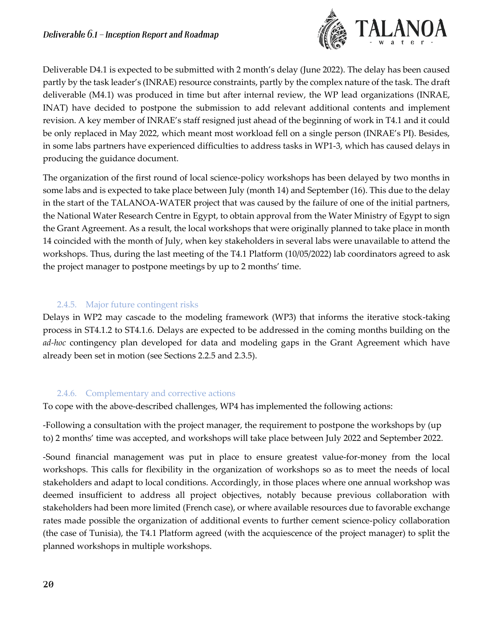

Deliverable D4.1 is expected to be submitted with 2 month's delay (June 2022). The delay has been caused partly by the task leader's (INRAE) resource constraints, partly by the complex nature of the task. The draft deliverable (M4.1) was produced in time but after internal review, the WP lead organizations (INRAE, INAT) have decided to postpone the submission to add relevant additional contents and implement revision. A key member of INRAE's staff resigned just ahead of the beginning of work in T4.1 and it could be only replaced in May 2022, which meant most workload fell on a single person (INRAE's PI). Besides, in some labs partners have experienced difficulties to address tasks in WP1-3, which has caused delays in producing the guidance document.

The organization of the first round of local science-policy workshops has been delayed by two months in some labs and is expected to take place between July (month 14) and September (16). This due to the delay in the start of the TALANOA-WATER project that was caused by the failure of one of the initial partners, the National Water Research Centre in Egypt, to obtain approval from the Water Ministry of Egypt to sign the Grant Agreement. As a result, the local workshops that were originally planned to take place in month 14 coincided with the month of July, when key stakeholders in several labs were unavailable to attend the workshops. Thus, during the last meeting of the T4.1 Platform (10/05/2022) lab coordinators agreed to ask the project manager to postpone meetings by up to 2 months' time.

# 2.4.5. Major future contingent risks

<span id="page-19-0"></span>Delays in WP2 may cascade to the modeling framework (WP3) that informs the iterative stock-taking process in ST4.1.2 to ST4.1.6. Delays are expected to be addressed in the coming months building on the *ad-hoc* contingency plan developed for data and modeling gaps in the Grant Agreement which have already been set in motion (see Sections 2.2.5 and 2.3.5).

# 2.4.6. Complementary and corrective actions

<span id="page-19-1"></span>To cope with the above-described challenges, WP4 has implemented the following actions:

-Following a consultation with the project manager, the requirement to postpone the workshops by (up to) 2 months' time was accepted, and workshops will take place between July 2022 and September 2022.

-Sound financial management was put in place to ensure greatest value-for-money from the local workshops. This calls for flexibility in the organization of workshops so as to meet the needs of local stakeholders and adapt to local conditions. Accordingly, in those places where one annual workshop was deemed insufficient to address all project objectives, notably because previous collaboration with stakeholders had been more limited (French case), or where available resources due to favorable exchange rates made possible the organization of additional events to further cement science-policy collaboration (the case of Tunisia), the T4.1 Platform agreed (with the acquiescence of the project manager) to split the planned workshops in multiple workshops.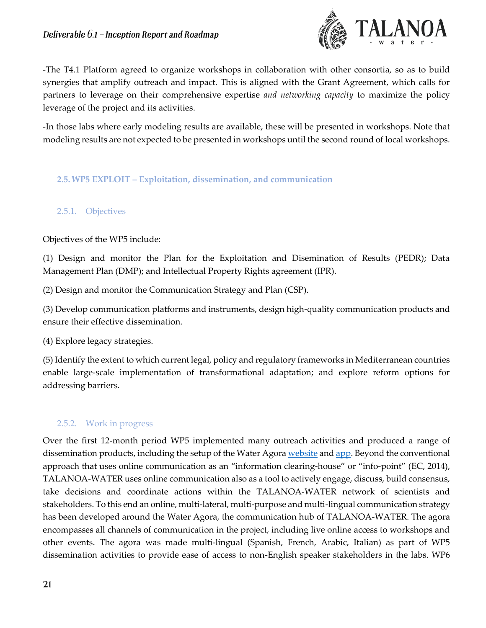

-The T4.1 Platform agreed to organize workshops in collaboration with other consortia, so as to build synergies that amplify outreach and impact. This is aligned with the Grant Agreement, which calls for partners to leverage on their comprehensive expertise *and networking capacity* to maximize the policy leverage of the project and its activities.

-In those labs where early modeling results are available, these will be presented in workshops. Note that modeling results are not expected to be presented in workshops until the second round of local workshops.

<span id="page-20-0"></span>**2.5.WP5 EXPLOIT – Exploitation, dissemination, and communication**

### <span id="page-20-1"></span>2.5.1. Objectives

Objectives of the WP5 include:

(1) Design and monitor the Plan for the Exploitation and Disemination of Results (PEDR); Data Management Plan (DMP); and Intellectual Property Rights agreement (IPR).

(2) Design and monitor the Communication Strategy and Plan (CSP).

(3) Develop communication platforms and instruments, design high-quality communication products and ensure their effective dissemination.

(4) Explore legacy strategies.

(5) Identify the extent to which current legal, policy and regulatory frameworks in Mediterranean countries enable large-scale implementation of transformational adaptation; and explore reform options for addressing barriers.

# <span id="page-20-2"></span>2.5.2. Work in progress

Over the first 12-month period WP5 implemented many outreach activities and produced a range of dissemination products, including the setup of the Water Agora [website](https://talanoawater.com/) an[d app.](https://play.google.com/store/apps/details?id=com.pixelinnova.talanoawater) Beyond the conventional approach that uses online communication as an "information clearing-house" or "info-point" (EC, 2014), TALANOA-WATER uses online communication also as a tool to actively engage, discuss, build consensus, take decisions and coordinate actions within the TALANOA-WATER network of scientists and stakeholders. To this end an online, multi-lateral, multi-purpose and multi-lingual communication strategy has been developed around the Water Agora, the communication hub of TALANOA-WATER. The agora encompasses all channels of communication in the project, including live online access to workshops and other events. The agora was made multi-lingual (Spanish, French, Arabic, Italian) as part of WP5 dissemination activities to provide ease of access to non-English speaker stakeholders in the labs. WP6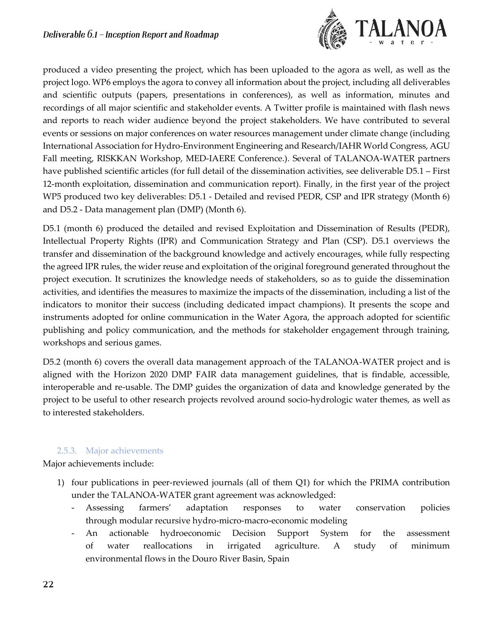

produced a video presenting the project, which has been uploaded to the agora as well, as well as the project logo. WP6 employs the agora to convey all information about the project, including all deliverables and scientific outputs (papers, presentations in conferences), as well as information, minutes and recordings of all major scientific and stakeholder events. A Twitter profile is maintained with flash news and reports to reach wider audience beyond the project stakeholders. We have contributed to several events or sessions on major conferences on water resources management under climate change (including International Association for Hydro-Environment Engineering and Research/IAHR World Congress, AGU Fall meeting, RISKKAN Workshop, MED-IAERE Conference.). Several of TALANOA-WATER partners have published scientific articles (for full detail of the dissemination activities, see deliverable D5.1 – First 12-month exploitation, dissemination and communication report). Finally, in the first year of the project WP5 produced two key deliverables: D5.1 - Detailed and revised PEDR, CSP and IPR strategy (Month 6) and D5.2 - Data management plan (DMP) (Month 6).

D5.1 (month 6) produced the detailed and revised Exploitation and Dissemination of Results (PEDR), Intellectual Property Rights (IPR) and Communication Strategy and Plan (CSP). D5.1 overviews the transfer and dissemination of the background knowledge and actively encourages, while fully respecting the agreed IPR rules, the wider reuse and exploitation of the original foreground generated throughout the project execution. It scrutinizes the knowledge needs of stakeholders, so as to guide the dissemination activities, and identifies the measures to maximize the impacts of the dissemination, including a list of the indicators to monitor their success (including dedicated impact champions). It presents the scope and instruments adopted for online communication in the Water Agora, the approach adopted for scientific publishing and policy communication, and the methods for stakeholder engagement through training, workshops and serious games.

D5.2 (month 6) covers the overall data management approach of the TALANOA-WATER project and is aligned with the Horizon 2020 DMP FAIR data management guidelines, that is findable, accessible, interoperable and re-usable. The DMP guides the organization of data and knowledge generated by the project to be useful to other research projects revolved around socio-hydrologic water themes, as well as to interested stakeholders.

#### 2.5.3. Major achievements

<span id="page-21-0"></span>Major achievements include:

- 1) four publications in peer-reviewed journals (all of them Q1) for which the PRIMA contribution under the TALANOA-WATER grant agreement was acknowledged:
	- Assessing farmers' adaptation responses to water conservation policies through modular recursive hydro-micro-macro-economic modeling
	- An actionable hydroeconomic Decision Support System for the assessment of water reallocations in irrigated agriculture. A study of minimum environmental flows in the Douro River Basin, Spain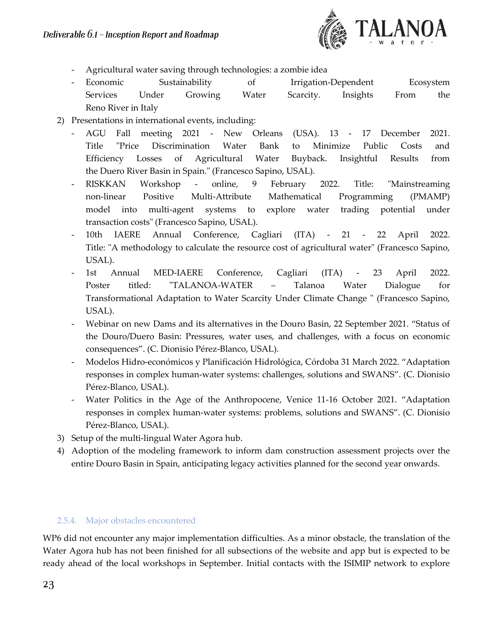

- Agricultural water saving through technologies: a zombie idea
- Economic Sustainability of Irrigation-Dependent Ecosystem Services Under Growing Water Scarcity. Insights From the Reno River in Italy
- 2) Presentations in international events, including:
	- AGU Fall meeting 2021 New Orleans (USA). 13 17 December 2021. Title "Price Discrimination Water Bank to Minimize Public Costs and Efficiency Losses of Agricultural Water Buyback. Insightful Results from the Duero River Basin in Spain." (Francesco Sapino, USAL).
	- RISKKAN Workshop online, 9 February 2022. Title: "Mainstreaming non-linear Positive Multi-Attribute Mathematical Programming (PMAMP) model into multi-agent systems to explore water trading potential under transaction costs" (Francesco Sapino, USAL).
	- 10th IAERE Annual Conference, Cagliari (ITA) 21 22 April 2022. Title: "A methodology to calculate the resource cost of agricultural water" (Francesco Sapino, USAL).
	- 1st Annual MED-IAERE Conference, Cagliari (ITA) 23 April 2022. Poster titled: "TALANOA-WATER – Talanoa Water Dialogue for Transformational Adaptation to Water Scarcity Under Climate Change " (Francesco Sapino, USAL).
	- Webinar on new Dams and its alternatives in the Douro Basin, 22 September 2021. "Status of the Douro/Duero Basin: Pressures, water uses, and challenges, with a focus on economic consequences". (C. Dionisio Pérez-Blanco, USAL).
	- Modelos Hidro-económicos y Planificación Hidrológica, Córdoba 31 March 2022. "Adaptation responses in complex human-water systems: challenges, solutions and SWANS". (C. Dionisio Pérez-Blanco, USAL).
	- Water Politics in the Age of the Anthropocene, Venice 11-16 October 2021. "Adaptation responses in complex human-water systems: problems, solutions and SWANS". (C. Dionisio Pérez-Blanco, USAL).
- 3) Setup of the multi-lingual Water Agora hub.
- 4) Adoption of the modeling framework to inform dam construction assessment projects over the entire Douro Basin in Spain, anticipating legacy activities planned for the second year onwards.

#### <span id="page-22-0"></span>2.5.4. Major obstacles encountered

WP6 did not encounter any major implementation difficulties. As a minor obstacle, the translation of the Water Agora hub has not been finished for all subsections of the website and app but is expected to be ready ahead of the local workshops in September. Initial contacts with the ISIMIP network to explore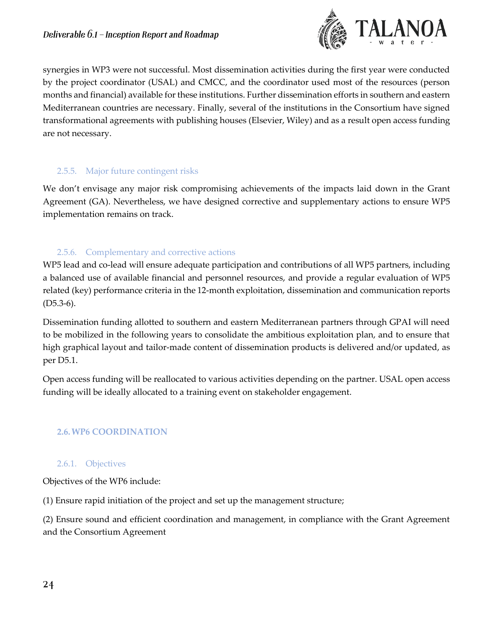

synergies in WP3 were not successful. Most dissemination activities during the first year were conducted by the project coordinator (USAL) and CMCC, and the coordinator used most of the resources (person months and financial) available for these institutions. Further dissemination efforts in southern and eastern Mediterranean countries are necessary. Finally, several of the institutions in the Consortium have signed transformational agreements with publishing houses (Elsevier, Wiley) and as a result open access funding are not necessary.

### <span id="page-23-0"></span>2.5.5. Major future contingent risks

We don't envisage any major risk compromising achievements of the impacts laid down in the Grant Agreement (GA). Nevertheless, we have designed corrective and supplementary actions to ensure WP5 implementation remains on track.

### 2.5.6. Complementary and corrective actions

<span id="page-23-1"></span>WP5 lead and co-lead will ensure adequate participation and contributions of all WP5 partners, including a balanced use of available financial and personnel resources, and provide a regular evaluation of WP5 related (key) performance criteria in the 12-month exploitation, dissemination and communication reports  $(D5.3-6).$ 

Dissemination funding allotted to southern and eastern Mediterranean partners through GPAI will need to be mobilized in the following years to consolidate the ambitious exploitation plan, and to ensure that high graphical layout and tailor-made content of dissemination products is delivered and/or updated, as per D5.1.

Open access funding will be reallocated to various activities depending on the partner. USAL open access funding will be ideally allocated to a training event on stakeholder engagement.

### <span id="page-23-2"></span>**2.6.WP6 COORDINATION**

#### <span id="page-23-3"></span>2.6.1. Objectives

Objectives of the WP6 include:

(1) Ensure rapid initiation of the project and set up the management structure;

(2) Ensure sound and efficient coordination and management, in compliance with the Grant Agreement and the Consortium Agreement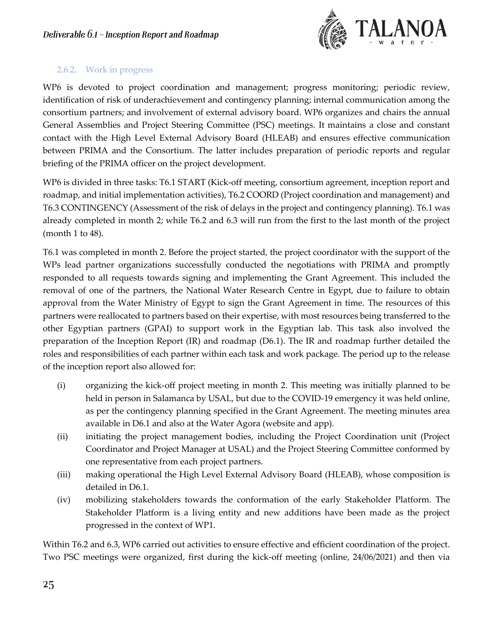

### <span id="page-24-0"></span>2.6.2. Work in progress

WP6 is devoted to project coordination and management; progress monitoring; periodic review, identification of risk of underachievement and contingency planning; internal communication among the consortium partners; and involvement of external advisory board. WP6 organizes and chairs the annual General Assemblies and Project Steering Committee (PSC) meetings. It maintains a close and constant contact with the High Level External Advisory Board (HLEAB) and ensures effective communication between PRIMA and the Consortium. The latter includes preparation of periodic reports and regular briefing of the PRIMA officer on the project development.

WP6 is divided in three tasks: T6.1 START (Kick-off meeting, consortium agreement, inception report and roadmap, and initial implementation activities), T6.2 COORD (Project coordination and management) and T6.3 CONTINGENCY (Assessment of the risk of delays in the project and contingency planning). T6.1 was already completed in month 2; while T6.2 and 6.3 will run from the first to the last month of the project (month 1 to 48).

T6.1 was completed in month 2. Before the project started, the project coordinator with the support of the WPs lead partner organizations successfully conducted the negotiations with PRIMA and promptly responded to all requests towards signing and implementing the Grant Agreement. This included the removal of one of the partners, the National Water Research Centre in Egypt, due to failure to obtain approval from the Water Ministry of Egypt to sign the Grant Agreement in time. The resources of this partners were reallocated to partners based on their expertise, with most resources being transferred to the other Egyptian partners (GPAI) to support work in the Egyptian lab. This task also involved the preparation of the Inception Report (IR) and roadmap (D6.1). The IR and roadmap further detailed the roles and responsibilities of each partner within each task and work package. The period up to the release of the inception report also allowed for:

- (i) organizing the kick-off project meeting in month 2. This meeting was initially planned to be held in person in Salamanca by USAL, but due to the COVID-19 emergency it was held online, as per the contingency planning specified in the Grant Agreement. The meeting minutes area available in D6.1 and also at the Water Agora (website and app).
- (ii) initiating the project management bodies, including the Project Coordination unit (Project Coordinator and Project Manager at USAL) and the Project Steering Committee conformed by one representative from each project partners.
- (iii) making operational the High Level External Advisory Board (HLEAB), whose composition is detailed in D6.1.
- (iv) mobilizing stakeholders towards the conformation of the early Stakeholder Platform. The Stakeholder Platform is a living entity and new additions have been made as the project progressed in the context of WP1.

Within T6.2 and 6.3, WP6 carried out activities to ensure effective and efficient coordination of the project. Two PSC meetings were organized, first during the kick-off meeting (online, 24/06/2021) and then via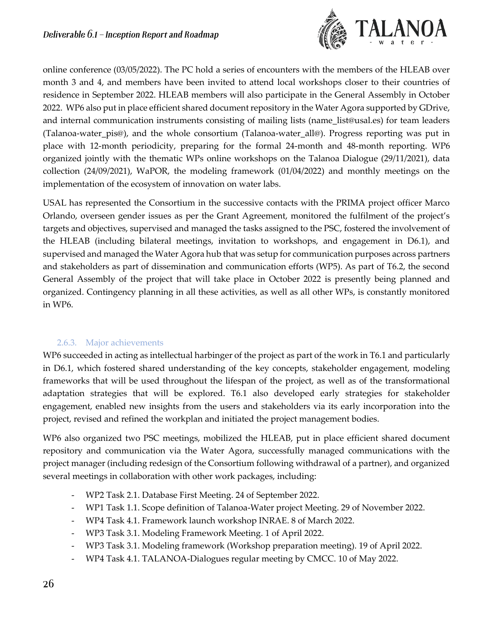

online conference (03/05/2022). The PC hold a series of encounters with the members of the HLEAB over month 3 and 4, and members have been invited to attend local workshops closer to their countries of residence in September 2022. HLEAB members will also participate in the General Assembly in October 2022. WP6 also put in place efficient shared document repository in the Water Agora supported by GDrive, and internal communication instruments consisting of mailing lists (name list@usal.es) for team leaders (Talanoa-water\_pis@), and the whole consortium (Talanoa-water\_all@). Progress reporting was put in place with 12-month periodicity, preparing for the formal 24-month and 48-month reporting. WP6 organized jointly with the thematic WPs online workshops on the Talanoa Dialogue (29/11/2021), data collection (24/09/2021), WaPOR, the modeling framework (01/04/2022) and monthly meetings on the implementation of the ecosystem of innovation on water labs.

USAL has represented the Consortium in the successive contacts with the PRIMA project officer Marco Orlando, overseen gender issues as per the Grant Agreement, monitored the fulfilment of the project's targets and objectives, supervised and managed the tasks assigned to the PSC, fostered the involvement of the HLEAB (including bilateral meetings, invitation to workshops, and engagement in D6.1), and supervised and managed the Water Agora hub that was setup for communication purposes across partners and stakeholders as part of dissemination and communication efforts (WP5). As part of T6.2, the second General Assembly of the project that will take place in October 2022 is presently being planned and organized. Contingency planning in all these activities, as well as all other WPs, is constantly monitored in WP6.

# 2.6.3. Major achievements

<span id="page-25-0"></span>WP6 succeeded in acting as intellectual harbinger of the project as part of the work in T6.1 and particularly in D6.1, which fostered shared understanding of the key concepts, stakeholder engagement, modeling frameworks that will be used throughout the lifespan of the project, as well as of the transformational adaptation strategies that will be explored. T6.1 also developed early strategies for stakeholder engagement, enabled new insights from the users and stakeholders via its early incorporation into the project, revised and refined the workplan and initiated the project management bodies.

WP6 also organized two PSC meetings, mobilized the HLEAB, put in place efficient shared document repository and communication via the Water Agora, successfully managed communications with the project manager (including redesign of the Consortium following withdrawal of a partner), and organized several meetings in collaboration with other work packages, including:

- WP2 Task 2.1. Database First Meeting. 24 of September 2022.
- WP1 Task 1.1. Scope definition of Talanoa-Water project Meeting. 29 of November 2022.
- WP4 Task 4.1. Framework launch workshop INRAE. 8 of March 2022.
- WP3 Task 3.1. Modeling Framework Meeting. 1 of April 2022.
- WP3 Task 3.1. Modeling framework (Workshop preparation meeting). 19 of April 2022.
- WP4 Task 4.1. TALANOA-Dialogues regular meeting by CMCC. 10 of May 2022.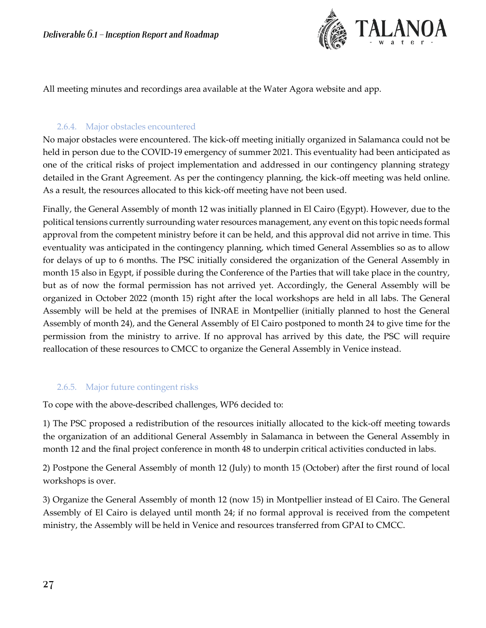

All meeting minutes and recordings area available at the Water Agora website and app.

### 2.6.4. Major obstacles encountered

<span id="page-26-0"></span>No major obstacles were encountered. The kick-off meeting initially organized in Salamanca could not be held in person due to the COVID-19 emergency of summer 2021. This eventuality had been anticipated as one of the critical risks of project implementation and addressed in our contingency planning strategy detailed in the Grant Agreement. As per the contingency planning, the kick-off meeting was held online. As a result, the resources allocated to this kick-off meeting have not been used.

Finally, the General Assembly of month 12 was initially planned in El Cairo (Egypt). However, due to the political tensions currently surrounding water resources management, any event on this topic needs formal approval from the competent ministry before it can be held, and this approval did not arrive in time. This eventuality was anticipated in the contingency planning, which timed General Assemblies so as to allow for delays of up to 6 months. The PSC initially considered the organization of the General Assembly in month 15 also in Egypt, if possible during the Conference of the Parties that will take place in the country, but as of now the formal permission has not arrived yet. Accordingly, the General Assembly will be organized in October 2022 (month 15) right after the local workshops are held in all labs. The General Assembly will be held at the premises of INRAE in Montpellier (initially planned to host the General Assembly of month 24), and the General Assembly of El Cairo postponed to month 24 to give time for the permission from the ministry to arrive. If no approval has arrived by this date, the PSC will require reallocation of these resources to CMCC to organize the General Assembly in Venice instead.

# <span id="page-26-1"></span>2.6.5. Major future contingent risks

To cope with the above-described challenges, WP6 decided to:

1) The PSC proposed a redistribution of the resources initially allocated to the kick-off meeting towards the organization of an additional General Assembly in Salamanca in between the General Assembly in month 12 and the final project conference in month 48 to underpin critical activities conducted in labs.

2) Postpone the General Assembly of month 12 (July) to month 15 (October) after the first round of local workshops is over.

3) Organize the General Assembly of month 12 (now 15) in Montpellier instead of El Cairo. The General Assembly of El Cairo is delayed until month 24; if no formal approval is received from the competent ministry, the Assembly will be held in Venice and resources transferred from GPAI to CMCC.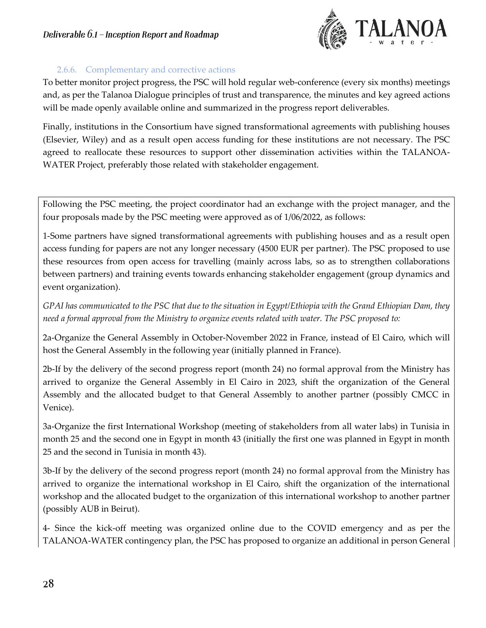

### 2.6.6. Complementary and corrective actions

<span id="page-27-0"></span>To better monitor project progress, the PSC will hold regular web-conference (every six months) meetings and, as per the Talanoa Dialogue principles of trust and transparence, the minutes and key agreed actions will be made openly available online and summarized in the progress report deliverables.

Finally, institutions in the Consortium have signed transformational agreements with publishing houses (Elsevier, Wiley) and as a result open access funding for these institutions are not necessary. The PSC agreed to reallocate these resources to support other dissemination activities within the TALANOA-WATER Project, preferably those related with stakeholder engagement.

Following the PSC meeting, the project coordinator had an exchange with the project manager, and the four proposals made by the PSC meeting were approved as of 1/06/2022, as follows:

1-Some partners have signed transformational agreements with publishing houses and as a result open access funding for papers are not any longer necessary (4500 EUR per partner). The PSC proposed to use these resources from open access for travelling (mainly across labs, so as to strengthen collaborations between partners) and training events towards enhancing stakeholder engagement (group dynamics and event organization).

*GPAI has communicated to the PSC that due to the situation in Egypt/Ethiopia with the Grand Ethiopian Dam, they need a formal approval from the Ministry to organize events related with water. The PSC proposed to:*

2a-Organize the General Assembly in October-November 2022 in France, instead of El Cairo, which will host the General Assembly in the following year (initially planned in France).

2b-If by the delivery of the second progress report (month 24) no formal approval from the Ministry has arrived to organize the General Assembly in El Cairo in 2023, shift the organization of the General Assembly and the allocated budget to that General Assembly to another partner (possibly CMCC in Venice).

3a-Organize the first International Workshop (meeting of stakeholders from all water labs) in Tunisia in month 25 and the second one in Egypt in month 43 (initially the first one was planned in Egypt in month 25 and the second in Tunisia in month 43).

3b-If by the delivery of the second progress report (month 24) no formal approval from the Ministry has arrived to organize the international workshop in El Cairo, shift the organization of the international workshop and the allocated budget to the organization of this international workshop to another partner (possibly AUB in Beirut).

4- Since the kick-off meeting was organized online due to the COVID emergency and as per the TALANOA-WATER contingency plan, the PSC has proposed to organize an additional in person General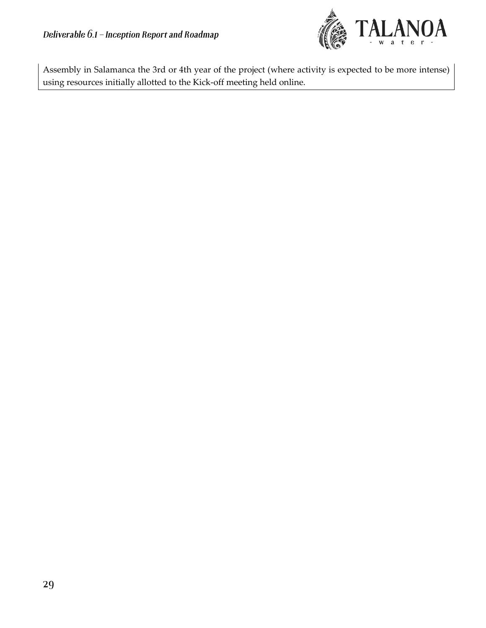

Assembly in Salamanca the 3rd or 4th year of the project (where activity is expected to be more intense) using resources initially allotted to the Kick-off meeting held online.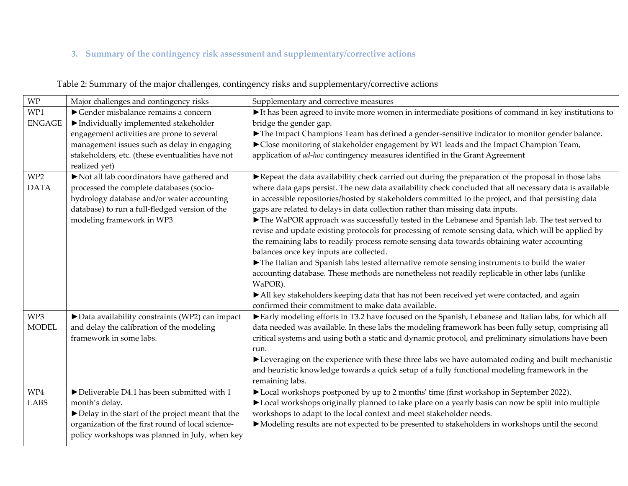# **3. Summary of the contingency risk assessment and supplementary/corrective actions**

<span id="page-29-0"></span>

| WP              | Major challenges and contingency risks                           | Supplementary and corrective measures                                                                                     |
|-----------------|------------------------------------------------------------------|---------------------------------------------------------------------------------------------------------------------------|
| WP1             | Gender misbalance remains a concern                              | $\blacktriangleright$ It has been agreed to invite more women in intermediate positions of command in key institutions to |
| <b>ENGAGE</b>   | Individually implemented stakeholder                             | bridge the gender gap.                                                                                                    |
|                 | engagement activities are prone to several                       | The Impact Champions Team has defined a gender-sensitive indicator to monitor gender balance.                             |
|                 | management issues such as delay in engaging                      | Close monitoring of stakeholder engagement by W1 leads and the Impact Champion Team,                                      |
|                 | stakeholders, etc. (these eventualities have not                 | application of ad-hoc contingency measures identified in the Grant Agreement                                              |
|                 | realized yet)                                                    |                                                                                                                           |
| WP <sub>2</sub> | Not all lab coordinators have gathered and                       | Repeat the data availability check carried out during the preparation of the proposal in those labs                       |
| <b>DATA</b>     | processed the complete databases (socio-                         | where data gaps persist. The new data availability check concluded that all necessary data is available                   |
|                 | hydrology database and/or water accounting                       | in accessible repositories/hosted by stakeholders committed to the project, and that persisting data                      |
|                 | database) to run a full-fledged version of the                   | gaps are related to delays in data collection rather than missing data inputs.                                            |
|                 | modeling framework in WP3                                        | The WaPOR approach was successfully tested in the Lebanese and Spanish lab. The test served to                            |
|                 |                                                                  | revise and update existing protocols for processing of remote sensing data, which will be applied by                      |
|                 |                                                                  | the remaining labs to readily process remote sensing data towards obtaining water accounting                              |
|                 |                                                                  | balances once key inputs are collected.                                                                                   |
|                 |                                                                  | The Italian and Spanish labs tested alternative remote sensing instruments to build the water                             |
|                 |                                                                  | accounting database. These methods are nonetheless not readily replicable in other labs (unlike                           |
|                 |                                                                  | WaPOR).                                                                                                                   |
|                 |                                                                  | All key stakeholders keeping data that has not been received yet were contacted, and again                                |
|                 |                                                                  | confirmed their commitment to make data available.                                                                        |
| WP3             | Data availability constraints (WP2) can impact                   | Early modeling efforts in T3.2 have focused on the Spanish, Lebanese and Italian labs, for which all                      |
| <b>MODEL</b>    | and delay the calibration of the modeling                        | data needed was available. In these labs the modeling framework has been fully setup, comprising all                      |
|                 | framework in some labs.                                          | critical systems and using both a static and dynamic protocol, and preliminary simulations have been                      |
|                 |                                                                  | run.                                                                                                                      |
|                 |                                                                  | Everaging on the experience with these three labs we have automated coding and built mechanistic                          |
|                 |                                                                  | and heuristic knowledge towards a quick setup of a fully functional modeling framework in the                             |
|                 |                                                                  | remaining labs.                                                                                                           |
| WP4             | $\blacktriangleright$ Deliverable D4.1 has been submitted with 1 | ▶ Local workshops postponed by up to 2 months' time (first workshop in September 2022).                                   |
| LABS            | month's delay.                                                   | Local workshops originally planned to take place on a yearly basis can now be split into multiple                         |
|                 | Delay in the start of the project meant that the                 | workshops to adapt to the local context and meet stakeholder needs.                                                       |
|                 | organization of the first round of local science-                | • Modeling results are not expected to be presented to stakeholders in workshops until the second                         |
|                 | policy workshops was planned in July, when key                   |                                                                                                                           |
|                 |                                                                  |                                                                                                                           |

Table 2: Summary of the major challenges, contingency risks and supplementary/corrective actions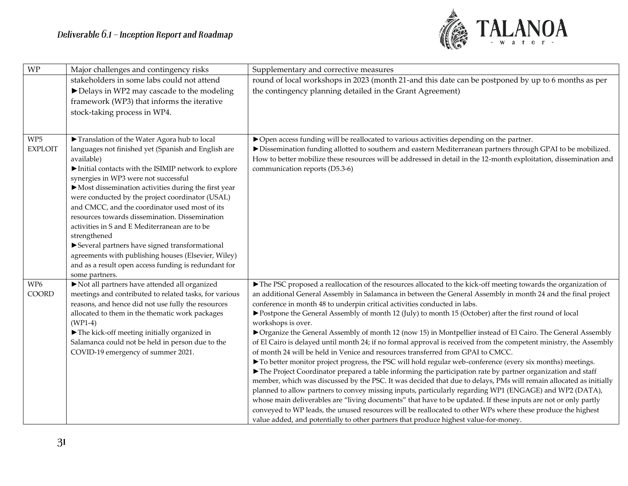

| <b>WP</b>       | Major challenges and contingency risks                                                                 | Supplementary and corrective measures                                                                                                                                                                                             |
|-----------------|--------------------------------------------------------------------------------------------------------|-----------------------------------------------------------------------------------------------------------------------------------------------------------------------------------------------------------------------------------|
|                 | stakeholders in some labs could not attend                                                             | round of local workshops in 2023 (month 21-and this date can be postponed by up to 6 months as per                                                                                                                                |
|                 | Delays in WP2 may cascade to the modeling                                                              | the contingency planning detailed in the Grant Agreement)                                                                                                                                                                         |
|                 | framework (WP3) that informs the iterative                                                             |                                                                                                                                                                                                                                   |
|                 | stock-taking process in WP4.                                                                           |                                                                                                                                                                                                                                   |
|                 |                                                                                                        |                                                                                                                                                                                                                                   |
| WP <sub>5</sub> | Translation of the Water Agora hub to local                                                            | ▶ Open access funding will be reallocated to various activities depending on the partner.                                                                                                                                         |
| <b>EXPLOIT</b>  | languages not finished yet (Spanish and English are<br>available)                                      | Dissemination funding allotted to southern and eastern Mediterranean partners through GPAI to be mobilized.<br>How to better mobilize these resources will be addressed in detail in the 12-month exploitation, dissemination and |
|                 | Initial contacts with the ISIMIP network to explore                                                    | communication reports (D5.3-6)                                                                                                                                                                                                    |
|                 | synergies in WP3 were not successful                                                                   |                                                                                                                                                                                                                                   |
|                 | Most dissemination activities during the first year                                                    |                                                                                                                                                                                                                                   |
|                 | were conducted by the project coordinator (USAL)                                                       |                                                                                                                                                                                                                                   |
|                 | and CMCC, and the coordinator used most of its<br>resources towards dissemination. Dissemination       |                                                                                                                                                                                                                                   |
|                 | activities in S and E Mediterranean are to be                                                          |                                                                                                                                                                                                                                   |
|                 | strengthened                                                                                           |                                                                                                                                                                                                                                   |
|                 | Several partners have signed transformational                                                          |                                                                                                                                                                                                                                   |
|                 | agreements with publishing houses (Elsevier, Wiley)                                                    |                                                                                                                                                                                                                                   |
|                 | and as a result open access funding is redundant for                                                   |                                                                                                                                                                                                                                   |
|                 | some partners.                                                                                         |                                                                                                                                                                                                                                   |
| WP6<br>COORD    | Not all partners have attended all organized<br>meetings and contributed to related tasks, for various | The PSC proposed a reallocation of the resources allocated to the kick-off meeting towards the organization of<br>an additional General Assembly in Salamanca in between the General Assembly in month 24 and the final project   |
|                 | reasons, and hence did not use fully the resources                                                     | conference in month 48 to underpin critical activities conducted in labs.                                                                                                                                                         |
|                 | allocated to them in the thematic work packages                                                        | Postpone the General Assembly of month 12 (July) to month 15 (October) after the first round of local                                                                                                                             |
|                 | $(WP1-4)$                                                                                              | workshops is over.                                                                                                                                                                                                                |
|                 | The kick-off meeting initially organized in                                                            | ▶ Organize the General Assembly of month 12 (now 15) in Montpellier instead of El Cairo. The General Assembly                                                                                                                     |
|                 | Salamanca could not be held in person due to the                                                       | of El Cairo is delayed until month 24; if no formal approval is received from the competent ministry, the Assembly                                                                                                                |
|                 | COVID-19 emergency of summer 2021.                                                                     | of month 24 will be held in Venice and resources transferred from GPAI to CMCC.                                                                                                                                                   |
|                 |                                                                                                        | To better monitor project progress, the PSC will hold regular web-conference (every six months) meetings.                                                                                                                         |
|                 |                                                                                                        | The Project Coordinator prepared a table informing the participation rate by partner organization and staff<br>member, which was discussed by the PSC. It was decided that due to delays, PMs will remain allocated as initially  |
|                 |                                                                                                        | planned to allow partners to convey missing inputs, particularly regarding WP1 (ENGAGE) and WP2 (DATA),                                                                                                                           |
|                 |                                                                                                        | whose main deliverables are "living documents" that have to be updated. If these inputs are not or only partly                                                                                                                    |
|                 |                                                                                                        | conveyed to WP leads, the unused resources will be reallocated to other WPs where these produce the highest                                                                                                                       |
|                 |                                                                                                        | value added, and potentially to other partners that produce highest value-for-money.                                                                                                                                              |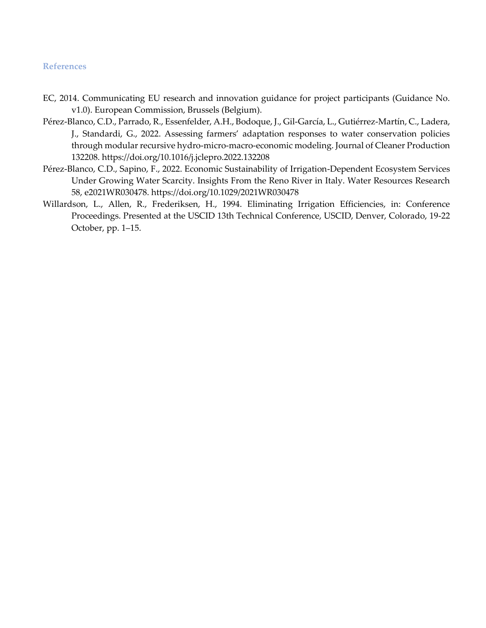#### <span id="page-31-0"></span>**References**

- EC, 2014. Communicating EU research and innovation guidance for project participants (Guidance No. v1.0). European Commission, Brussels (Belgium).
- Pérez-Blanco, C.D., Parrado, R., Essenfelder, A.H., Bodoque, J., Gil-García, L., Gutiérrez-Martín, C., Ladera, J., Standardi, G., 2022. Assessing farmers' adaptation responses to water conservation policies through modular recursive hydro-micro-macro-economic modeling. Journal of Cleaner Production 132208. https://doi.org/10.1016/j.jclepro.2022.132208
- Pérez-Blanco, C.D., Sapino, F., 2022. Economic Sustainability of Irrigation-Dependent Ecosystem Services Under Growing Water Scarcity. Insights From the Reno River in Italy. Water Resources Research 58, e2021WR030478. https://doi.org/10.1029/2021WR030478
- Willardson, L., Allen, R., Frederiksen, H., 1994. Eliminating Irrigation Efficiencies, in: Conference Proceedings. Presented at the USCID 13th Technical Conference, USCID, Denver, Colorado, 19-22 October, pp. 1–15.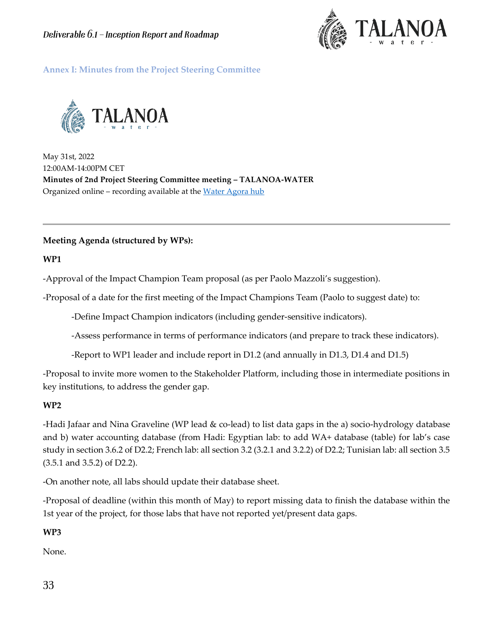

<span id="page-32-0"></span>**Annex I: Minutes from the Project Steering Committee**



May 31st, 2022 12:00AM-14:00PM CET **Minutes of 2nd Project Steering Committee meeting – TALANOA-WATER** Organized online – recording available at the [Water Agora hub](https://talanoawater.com/water-agora-hub/)

### **Meeting Agenda (structured by WPs):**

**WP1** 

-Approval of the Impact Champion Team proposal (as per Paolo Mazzoli's suggestion).

-Proposal of a date for the first meeting of the Impact Champions Team (Paolo to suggest date) to:

-Define Impact Champion indicators (including gender-sensitive indicators).

-Assess performance in terms of performance indicators (and prepare to track these indicators).

-Report to WP1 leader and include report in D1.2 (and annually in D1.3, D1.4 and D1.5)

-Proposal to invite more women to the Stakeholder Platform, including those in intermediate positions in key institutions, to address the gender gap.

### **WP2**

-Hadi Jafaar and Nina Graveline (WP lead & co-lead) to list data gaps in the a) socio-hydrology database and b) water accounting database (from Hadi: Egyptian lab: to add WA+ database (table) for lab's case study in section 3.6.2 of D2.2; French lab: all section 3.2 (3.2.1 and 3.2.2) of D2.2; Tunisian lab: all section 3.5 (3.5.1 and 3.5.2) of D2.2).

-On another note, all labs should update their database [sheet.](https://docs.google.com/spreadsheets/d/1mwRk1zuXzfUqX_RmD7a0kDV9O1KqxtAH4Y2EwgS64OQ/edit#gid=1632002035)

-Proposal of deadline (within this month of May) to report missing data to finish the database within the 1st year of the project, for those labs that have not reported yet/present data gaps.

# **WP3**

None.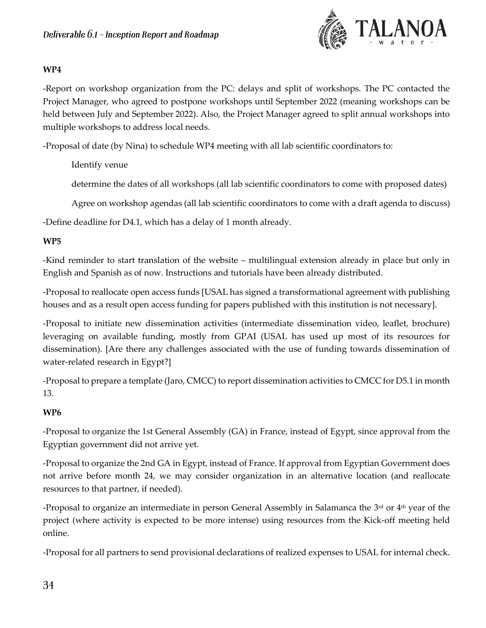

### **WP4**

-Report on workshop organization from the PC: delays and split of workshops. The PC contacted the Project Manager, who agreed to postpone workshops until September 2022 (meaning workshops can be held between July and September 2022). Also, the Project Manager agreed to split annual workshops into multiple workshops to address local needs.

-Proposal of date (by Nina) to schedule WP4 meeting with all lab scientific coordinators to:

Identify venue

determine the dates of all workshops (all lab scientific coordinators to come with proposed dates)

Agree on workshop agendas (all lab scientific coordinators to come with a draft agenda to discuss)

-Define deadline for D4.1, which has a delay of 1 month already.

### **WP5**

-Kind reminder to start translation of the website – multilingual extension already in place but only in English and Spanish as of now. Instructions and tutorials have been already distributed.

-Proposal to reallocate open access funds [USAL has signed a transformational agreement with publishing houses and as a result open access funding for papers published with this institution is not necessary].

-Proposal to initiate new dissemination activities (intermediate dissemination video, leaflet, brochure) leveraging on available funding, mostly from GPAI (USAL has used up most of its resources for dissemination). [Are there any challenges associated with the use of funding towards dissemination of water-related research in Egypt?]

-Proposal to prepare a template (Jaro, CMCC) to report dissemination activities to CMCC for D5.1 in month 13.

### **WP6**

-Proposal to organize the 1st General Assembly (GA) in France, instead of Egypt, since approval from the Egyptian government did not arrive yet.

-Proposal to organize the 2nd GA in Egypt, instead of France. If approval from Egyptian Government does not arrive before month 24, we may consider organization in an alternative location (and reallocate resources to that partner, if needed).

-Proposal to organize an intermediate in person General Assembly in Salamanca the 3<sup>rd</sup> or 4<sup>th</sup> year of the project (where activity is expected to be more intense) using resources from the Kick-off meeting held online.

-Proposal for all partners to send provisional declarations of realized expenses to USAL for internal check.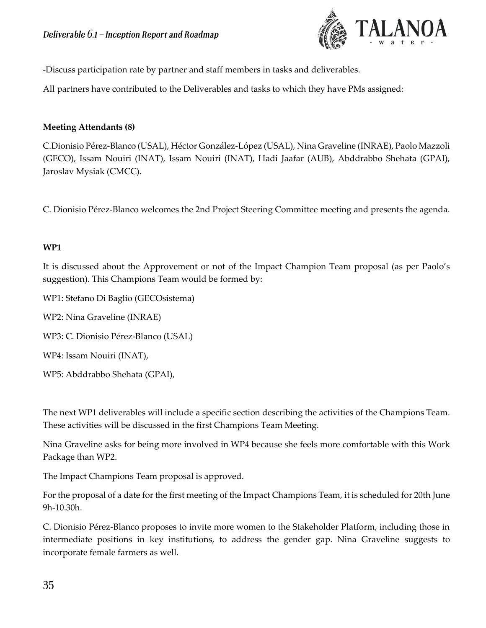

-Discuss participation rate by partner and staff members in tasks and deliverables.

All partners have contributed to the Deliverables and tasks to which they have PMs assigned:

### **Meeting Attendants (8)**

C.Dionisio Pérez-Blanco (USAL), Héctor González-López (USAL), Nina Graveline (INRAE), Paolo Mazzoli (GECO), Issam Nouiri (INAT), Issam Nouiri (INAT), Hadi Jaafar (AUB), Abddrabbo Shehata (GPAI), Jaroslav Mysiak (CMCC).

C. Dionisio Pérez-Blanco welcomes the 2nd Project Steering Committee meeting and presents the agenda.

### **WP1**

It is discussed about the Approvement or not of the Impact Champion Team proposal (as per Paolo's suggestion). This Champions Team would be formed by:

WP1: Stefano Di Baglio (GECOsistema)

WP2: Nina Graveline (INRAE)

WP3: C. Dionisio Pérez-Blanco (USAL)

WP4: Issam Nouiri (INAT),

WP5: Abddrabbo Shehata (GPAI),

The next WP1 deliverables will include a specific section describing the activities of the Champions Team. These activities will be discussed in the first Champions Team Meeting.

Nina Graveline asks for being more involved in WP4 because she feels more comfortable with this Work Package than WP2.

The Impact Champions Team proposal is approved.

For the proposal of a date for the first meeting of the Impact Champions Team, it is scheduled for 20th June 9h-10.30h.

C. Dionisio Pérez-Blanco proposes to invite more women to the Stakeholder Platform, including those in intermediate positions in key institutions, to address the gender gap. Nina Graveline suggests to incorporate female farmers as well.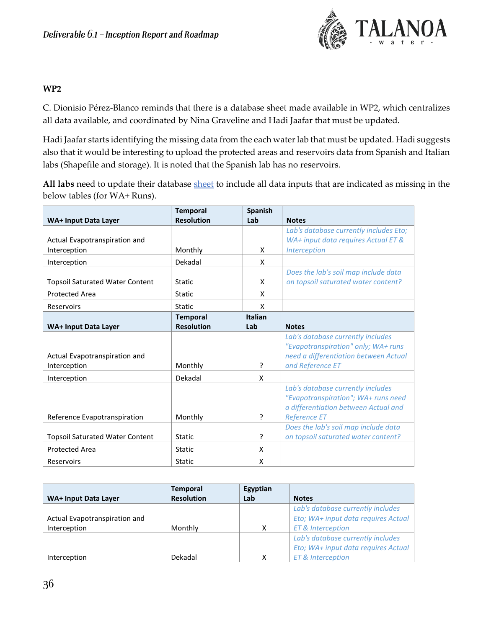

#### **WP2**

C. Dionisio Pérez-Blanco reminds that there is a database sheet made available in WP2, which centralizes all data available, and coordinated by Nina Graveline and Hadi Jaafar that must be updated.

Hadi Jaafar starts identifying the missing data from the each water lab that must be updated. Hadi suggests also that it would be interesting to upload the protected areas and reservoirs data from Spanish and Italian labs (Shapefile and storage). It is noted that the Spanish lab has no reservoirs.

**All labs** need to update their database [sheet](https://docs.google.com/spreadsheets/d/1mwRk1zuXzfUqX_RmD7a0kDV9O1KqxtAH4Y2EwgS64OQ/edit#gid=1632002035) to include all data inputs that are indicated as missing in the below tables (for WA+ Runs).

| <b>WA+ Input Data Layer</b>            | <b>Temporal</b><br><b>Resolution</b> | <b>Spanish</b><br>Lab | <b>Notes</b>                           |
|----------------------------------------|--------------------------------------|-----------------------|----------------------------------------|
|                                        |                                      |                       | Lab's database currently includes Eto; |
| Actual Evapotranspiration and          |                                      |                       | WA+ input data requires Actual ET &    |
| Interception                           | Monthly                              | X                     | Interception                           |
| Interception                           | Dekadal                              | X                     |                                        |
|                                        |                                      |                       | Does the lab's soil map include data   |
| <b>Topsoil Saturated Water Content</b> | <b>Static</b>                        | X                     | on topsoil saturated water content?    |
| <b>Protected Area</b>                  | <b>Static</b>                        | X                     |                                        |
| Reservoirs                             | <b>Static</b>                        | X                     |                                        |
|                                        | <b>Temporal</b>                      | <b>Italian</b>        |                                        |
| WA+ Input Data Layer                   | <b>Resolution</b>                    | Lab                   | <b>Notes</b>                           |
|                                        |                                      |                       | Lab's database currently includes      |
|                                        |                                      |                       | "Evapotranspiration" only; WA+ runs    |
| Actual Evapotranspiration and          |                                      |                       | need a differentiation between Actual  |
| Interception                           | Monthly                              | ?                     | and Reference ET                       |
| Interception                           | Dekadal                              | X                     |                                        |
|                                        |                                      |                       | Lab's database currently includes      |
|                                        |                                      |                       | "Evapotranspiration"; WA+ runs need    |
|                                        |                                      |                       | a differentiation between Actual and   |
| Reference Evapotranspiration           | Monthly                              | 7                     | <b>Reference ET</b>                    |
|                                        |                                      |                       | Does the lab's soil map include data   |
| <b>Topsoil Saturated Water Content</b> | <b>Static</b>                        | ?                     | on topsoil saturated water content?    |
| <b>Protected Area</b>                  | <b>Static</b>                        | X                     |                                        |
| Reservoirs                             | <b>Static</b>                        | X                     |                                        |

| WA+ Input Data Layer          | <b>Temporal</b><br><b>Resolution</b> | Egyptian<br>Lab | <b>Notes</b>                        |
|-------------------------------|--------------------------------------|-----------------|-------------------------------------|
|                               |                                      |                 | Lab's database currently includes   |
| Actual Evapotranspiration and |                                      |                 | Eto; WA+ input data requires Actual |
| Interception                  | Monthly                              | x               | <b>ET &amp; Interception</b>        |
|                               |                                      |                 | Lab's database currently includes   |
|                               |                                      |                 | Eto; WA+ input data requires Actual |
| Interception                  | Dekadal                              | X               | <b>ET &amp; Interception</b>        |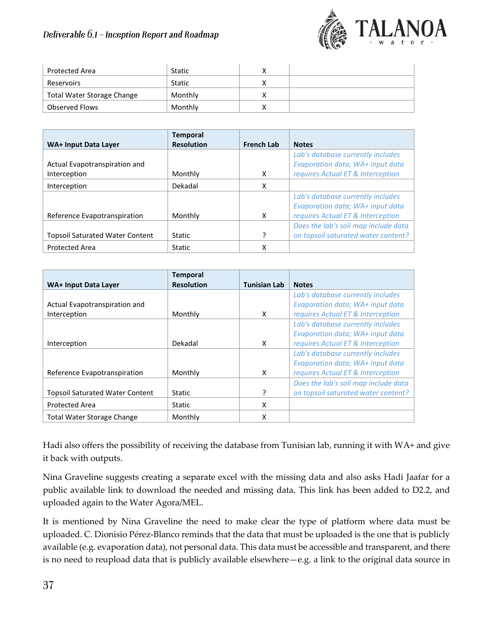# **Deliverable 6.1 - Inception Report and Roadmap**



| Protected Area             | <b>Static</b> |   |  |
|----------------------------|---------------|---|--|
| Reservoirs                 | Static        | ν |  |
| Total Water Storage Change | Monthly       | ν |  |
| Observed Flows             | Monthly       | ν |  |

|                                        | <b>Temporal</b><br><b>Resolution</b> | <b>French Lab</b> | <b>Notes</b>                         |
|----------------------------------------|--------------------------------------|-------------------|--------------------------------------|
| WA+ Input Data Layer                   |                                      |                   |                                      |
|                                        |                                      |                   | Lab's database currently includes    |
| Actual Evapotranspiration and          |                                      |                   | Evaporation data; WA+ input data     |
| Interception                           | Monthly                              | x                 | requires Actual ET & Interception    |
| Interception                           | Dekadal                              | X                 |                                      |
|                                        |                                      |                   | Lab's database currently includes    |
|                                        |                                      |                   | Evaporation data; WA+ input data     |
| Reference Evapotranspiration           | Monthly                              | X                 | requires Actual ET & Interception    |
|                                        |                                      |                   | Does the lab's soil map include data |
| <b>Topsoil Saturated Water Content</b> | <b>Static</b>                        | ς                 | on topsoil saturated water content?  |
| <b>Protected Area</b>                  | <b>Static</b>                        | x                 |                                      |

|                                        | <b>Temporal</b>   |                     |                                      |
|----------------------------------------|-------------------|---------------------|--------------------------------------|
| WA+ Input Data Layer                   | <b>Resolution</b> | <b>Tunisian Lab</b> | <b>Notes</b>                         |
|                                        |                   |                     | Lab's database currently includes    |
| Actual Evapotranspiration and          |                   |                     | Evaporation data; WA+ input data     |
| Interception                           | Monthly           | X                   | requires Actual ET & Interception    |
|                                        |                   |                     | Lab's database currently includes    |
|                                        |                   |                     | Evaporation data; WA+ input data     |
| Interception                           | Dekadal           | X                   | requires Actual ET & Interception    |
|                                        |                   |                     | Lab's database currently includes    |
|                                        |                   |                     | Evaporation data; WA+ input data     |
| Reference Evapotranspiration           | Monthly           | X                   | requires Actual ET & Interception    |
|                                        |                   |                     | Does the lab's soil map include data |
| <b>Topsoil Saturated Water Content</b> | <b>Static</b>     | ?                   | on topsoil saturated water content?  |
| <b>Protected Area</b>                  | Static            | X                   |                                      |
| <b>Total Water Storage Change</b>      | Monthly           | X                   |                                      |

Hadi also offers the possibility of receiving the database from Tunisian lab, running it with WA+ and give it back with outputs.

Nina Graveline suggests creating a separate excel with the missing data and also asks Hadi Jaafar for a public available link to download the needed and missing data. This link has been added to D2.2, and uploaded again to the Water Agora/MEL.

It is mentioned by Nina Graveline the need to make clear the type of platform where data must be uploaded. C. Dionisio Pérez-Blanco reminds that the data that must be uploaded is the one that is publicly available (e.g. evaporation data), not personal data. This data must be accessible and transparent, and there is no need to reupload data that is publicly available elsewhere—e.g. a link to the original data source in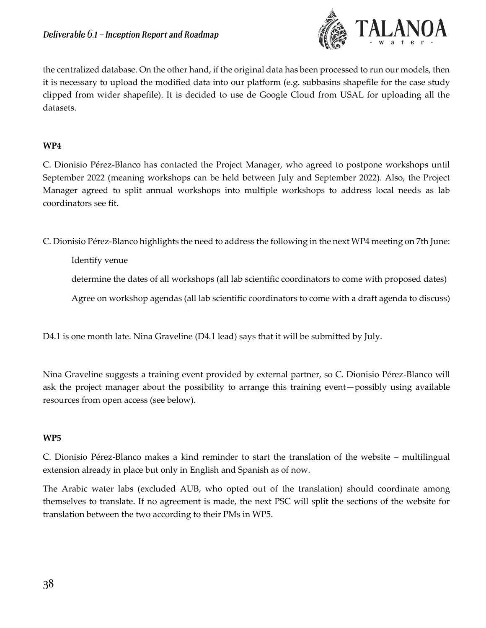

the centralized database. On the other hand, if the original data has been processed to run our models, then it is necessary to upload the modified data into our platform (e.g. subbasins shapefile for the case study clipped from wider shapefile). It is decided to use de Google Cloud from USAL for uploading all the datasets.

### **WP4**

C. Dionisio Pérez-Blanco has contacted the Project Manager, who agreed to postpone workshops until September 2022 (meaning workshops can be held between July and September 2022). Also, the Project Manager agreed to split annual workshops into multiple workshops to address local needs as lab coordinators see fit.

C. Dionisio Pérez-Blanco highlights the need to address the following in the next WP4 meeting on 7th June:

Identify venue

determine the dates of all workshops (all lab scientific coordinators to come with proposed dates)

Agree on workshop agendas (all lab scientific coordinators to come with a draft agenda to discuss)

D4.1 is one month late. Nina Graveline (D4.1 lead) says that it will be submitted by July.

Nina Graveline suggests a training event provided by external partner, so C. Dionisio Pérez-Blanco will ask the project manager about the possibility to arrange this training event—possibly using available resources from open access (see below).

### **WP5**

C. Dionisio Pérez-Blanco makes a kind reminder to start the translation of the website – multilingual extension already in place but only in English and Spanish as of now.

The Arabic water labs (excluded AUB, who opted out of the translation) should coordinate among themselves to translate. If no agreement is made, the next PSC will split the sections of the website for translation between the two according to their PMs in WP5.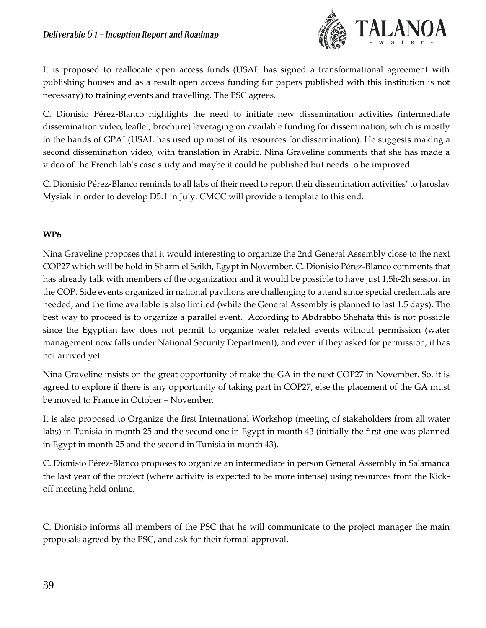

It is proposed to reallocate open access funds (USAL has signed a transformational agreement with publishing houses and as a result open access funding for papers published with this institution is not necessary) to training events and travelling. The PSC agrees.

C. Dionisio Pérez-Blanco highlights the need to initiate new dissemination activities (intermediate dissemination video, leaflet, brochure) leveraging on available funding for dissemination, which is mostly in the hands of GPAI (USAL has used up most of its resources for dissemination). He suggests making a second dissemination video, with translation in Arabic. Nina Graveline comments that she has made a video of the French lab's case study and maybe it could be published but needs to be improved.

C. Dionisio Pérez-Blanco reminds to all labs of their need to report their dissemination activities' to Jaroslav Mysiak in order to develop D5.1 in July. CMCC will provide a template to this end.

### **WP6**

Nina Graveline proposes that it would interesting to organize the 2nd General Assembly close to the next COP27 which will be hold in Sharm el Seikh, Egypt in November. C. Dionisio Pérez-Blanco comments that has already talk with members of the organization and it would be possible to have just 1,5h-2h session in the COP. Side events organized in national pavilions are challenging to attend since special credentials are needed, and the time available is also limited (while the General Assembly is planned to last 1.5 days). The best way to proceed is to organize a parallel event. According to Abdrabbo Shehata this is not possible since the Egyptian law does not permit to organize water related events without permission (water management now falls under National Security Department), and even if they asked for permission, it has not arrived yet.

Nina Graveline insists on the great opportunity of make the GA in the next COP27 in November. So, it is agreed to explore if there is any opportunity of taking part in COP27, else the placement of the GA must be moved to France in October – November.

It is also proposed to Organize the first International Workshop (meeting of stakeholders from all water labs) in Tunisia in month 25 and the second one in Egypt in month 43 (initially the first one was planned in Egypt in month 25 and the second in Tunisia in month 43).

C. Dionisio Pérez-Blanco proposes to organize an intermediate in person General Assembly in Salamanca the last year of the project (where activity is expected to be more intense) using resources from the Kickoff meeting held online.

C. Dionisio informs all members of the PSC that he will communicate to the project manager the main proposals agreed by the PSC, and ask for their formal approval.